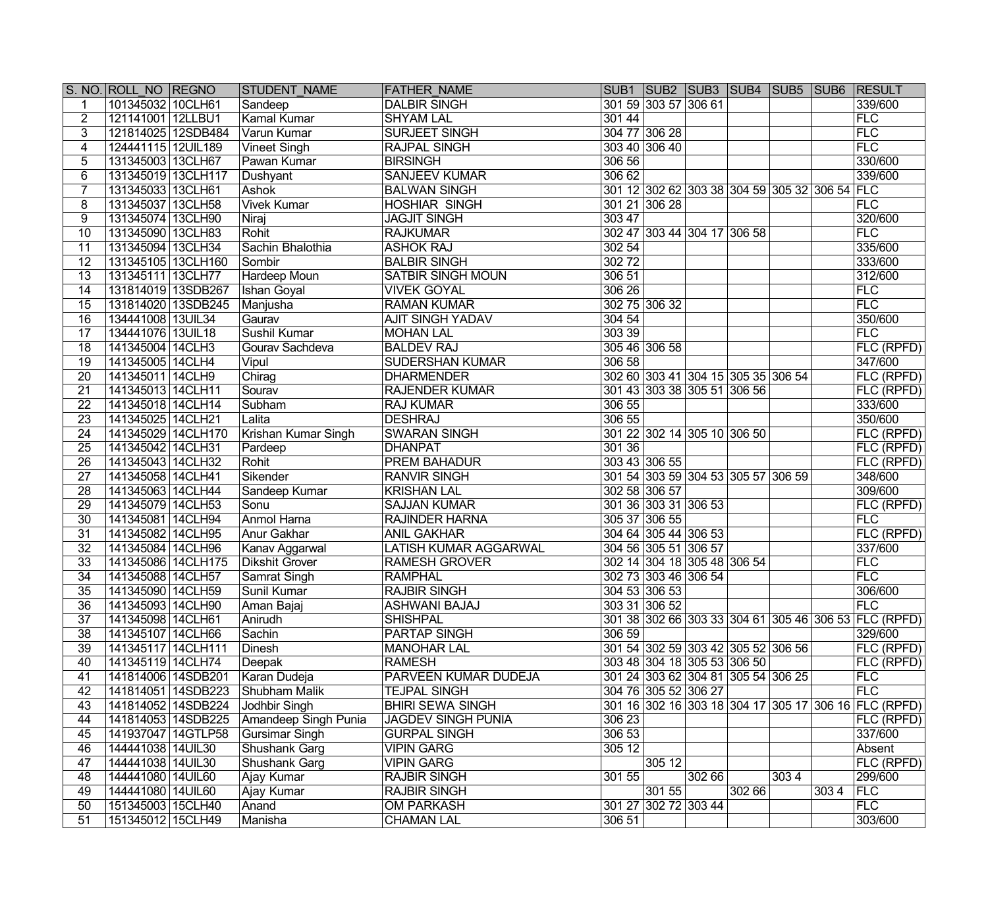|                 | S. NO. ROLL NO REGNO | <b>STUDENT NAME</b>   | <b>FATHER NAME</b>           | SUB1   SUB2   SUB3   SUB4   SUB5   SUB6   RESULT     |       |        |      |      |                   |
|-----------------|----------------------|-----------------------|------------------------------|------------------------------------------------------|-------|--------|------|------|-------------------|
|                 | 101345032 10CLH61    | Sandeep               | <b>DALBIR SINGH</b>          | 301 59 303 57 306 61                                 |       |        |      |      | 339/600           |
| $\overline{2}$  | 121141001 12LLBU1    | Kamal Kumar           | <b>SHYAM LAL</b>             | 30144                                                |       |        |      |      | <b>FLC</b>        |
| 3               | 121814025 12SDB484   | Varun Kumar           | <b>SURJEET SINGH</b>         | 304 77 306 28                                        |       |        |      |      | FLC               |
| 4               | 124441115 12UIL189   | <b>Vineet Singh</b>   | <b>RAJPAL SINGH</b>          | 303 40 306 40                                        |       |        |      |      | FLC               |
| 5               | 131345003 13CLH67    | <b>Pawan Kumar</b>    | <b>BIRSINGH</b>              | 306 56                                               |       |        |      |      | 330/600           |
| 6               | 131345019 13CLH117   | Dushyant              | <b>SANJEEV KUMAR</b>         | 306 62                                               |       |        |      |      | 339/600           |
|                 | 131345033 13CLH61    | Ashok                 | <b>BALWAN SINGH</b>          | 301 12 302 62 303 38 304 59 305 32 306 54 FLC        |       |        |      |      |                   |
| 8               | 131345037 13CLH58    | <b>Vivek Kumar</b>    | <b>HOSHIAR SINGH</b>         | 301 21 306 28                                        |       |        |      |      | FLC               |
| 9               | 131345074 13CLH90    | Niraj                 | <b>JAGJIT SINGH</b>          | 303 47                                               |       |        |      |      | 320/600           |
| 10              | 131345090 13CLH83    | Rohit                 | <b>RAJKUMAR</b>              | 302 47 303 44 304 17 306 58                          |       |        |      |      | <b>FLC</b>        |
| 11              | 131345094 13CLH34    | Sachin Bhalothia      | <b>ASHOK RAJ</b>             | 302 54                                               |       |        |      |      | 335/600           |
| 12              | 131345105 13CLH160   | Sombir                | <b>BALBIR SINGH</b>          | 30272                                                |       |        |      |      | 333/600           |
| $\overline{13}$ | 131345111 13CLH77    | Hardeep Moun          | <b>SATBIR SINGH MOUN</b>     | 306 51                                               |       |        |      |      | 312/600           |
| 14              | 131814019 13SDB267   | Ishan Goyal           | <b>VIVEK GOYAL</b>           | 306 26                                               |       |        |      |      | FLC               |
| $\overline{15}$ | 131814020 13SDB245   | Manjusha              | <b>RAMAN KUMAR</b>           | 302 75 306 32                                        |       |        |      |      | FLC               |
| $\overline{16}$ | 134441008 13UIL34    | Gaurav                | <b>AJIT SINGH YADAV</b>      | 304 54                                               |       |        |      |      | 350/600           |
| $\overline{17}$ | 134441076 13UIL18    | Sushil Kumar          | <b>MOHAN LAL</b>             | 303 39                                               |       |        |      |      | FLC               |
| 18              | 141345004 14CLH3     | Gourav Sachdeva       | <b>BALDEV RAJ</b>            | 305 46 306 58                                        |       |        |      |      | <b>FLC (RPFD)</b> |
| $\overline{19}$ | 141345005 14CLH4     | Vipul                 | <b>SUDERSHAN KUMAR</b>       | 306 58                                               |       |        |      |      | 347/600           |
| $\overline{20}$ | 141345011 14CLH9     | Chirag                | <b>DHARMENDER</b>            | 302 60 303 41 304 15 305 35 306 54                   |       |        |      |      | FLC (RPFD)        |
| 21              | 141345013 14CLH11    | Sourav                | <b>RAJENDER KUMAR</b>        | 301 43 303 38 305 51 306 56                          |       |        |      |      | FLC (RPFD)        |
| $\overline{22}$ | 141345018 14CLH14    | Subham                | <b>RAJ KUMAR</b>             | 306 55                                               |       |        |      |      | 333/600           |
| $\overline{23}$ | 141345025 14CLH21    | Lalita                | <b>DESHRAJ</b>               | 306 55                                               |       |        |      |      | 350/600           |
| 24              | 141345029 14CLH170   | Krishan Kumar Singh   | <b>SWARAN SINGH</b>          | 301 22 302 14 305 10 306 50                          |       |        |      |      | FLC (RPFD)        |
| 25              | 141345042 14CLH31    | Pardeep               | <b>DHANPAT</b>               | 301 36                                               |       |        |      |      | <b>FLC (RPFD)</b> |
| $\overline{26}$ | 141345043 14CLH32    | Rohit                 | <b>PREM BAHADUR</b>          | 303 43 306 55                                        |       |        |      |      | FLC (RPFD)        |
| $\overline{27}$ | 141345058 14CLH41    | Sikender              | <b>RANVIR SINGH</b>          | 301 54 303 59 304 53 305 57 306 59                   |       |        |      |      | 348/600           |
| $\overline{28}$ | 141345063 14CLH44    | Sandeep Kumar         | <b>KRISHAN LAL</b>           | 302 58 306 57                                        |       |        |      |      | 309/600           |
| $\overline{29}$ | 141345079 14CLH53    | Sonu                  | <b>SAJJAN KUMAR</b>          | 301 36 303 31 306 53                                 |       |        |      |      | <b>FLC (RPFD)</b> |
| $\overline{30}$ | 141345081 14CLH94    | Anmol Harna           | RAJINDER HARNA               | 305 37 306 55                                        |       |        |      |      | FLC               |
| 31              | 141345082 14CLH95    | <b>Anur Gakhar</b>    | <b>ANIL GAKHAR</b>           | 304 64 305 44 306 53                                 |       |        |      |      | FLC (RPFD)        |
| $\overline{32}$ | 141345084 14CLH96    | Kanav Aggarwal        | <b>LATISH KUMAR AGGARWAL</b> | 304 56 305 51 306 57                                 |       |        |      |      | 337/600           |
| $\overline{33}$ | 141345086 14CLH175   | <b>Dikshit Grover</b> | <b>RAMESH GROVER</b>         | 302 14 304 18 305 48 306 54                          |       |        |      |      | <b>FLC</b>        |
| 34              | 141345088 14CLH57    | Samrat Singh          | <b>RAMPHAL</b>               | 302 73 303 46 306 54                                 |       |        |      |      | <b>FLC</b>        |
| $\overline{35}$ | 141345090 14CLH59    | Sunil Kumar           | <b>RAJBIR SINGH</b>          | 304 53 306 53                                        |       |        |      |      | 306/600           |
| $\overline{36}$ | 141345093 14CLH90    | Aman Bajaj            | <b>ASHWANI BAJAJ</b>         | 303 31 306 52                                        |       |        |      |      | <b>FLC</b>        |
| 37              | 141345098 14CLH61    | Anirudh               | <b>SHISHPAL</b>              | 301 38 302 66 303 33 304 61 305 46 306 53 FLC (RPFD) |       |        |      |      |                   |
| 38              | 141345107 14CLH66    | Sachin                | <b>PARTAP SINGH</b>          | 306 59                                               |       |        |      |      | 329/600           |
| 39              | 141345117 14CLH111   | Dinesh                | <b>MANOHAR LAL</b>           | 301 54 302 59 303 42 305 52 306 56                   |       |        |      |      | FLC (RPFD)        |
| 40              | 141345119 14CLH74    | Deepak                | <b>RAMESH</b>                | 303 48 304 18 305 53 306 50                          |       |        |      |      | <b>FLC (RPFD)</b> |
| 41              | 141814006 14SDB201   | Karan Dudeja          | PARVEEN KUMAR DUDEJA         | 301 24 303 62 304 81 305 54 306 25                   |       |        |      |      | <b>FLC</b>        |
| 42              | 141814051 14SDB223   | Shubham Malik         | <b>TEJPAL SINGH</b>          | 304 76 305 52 306 27                                 |       |        |      |      | FLC               |
| 43              | 141814052 14SDB224   | Jodhbir Singh         | <b>BHIRI SEWA SINGH</b>      | 301 16 302 16 303 18 304 17 305 17 306 16 FLC (RPFD) |       |        |      |      |                   |
| 44              | 141814053 14SDB225   | Amandeep Singh Punia  | <b>JAGDEV SINGH PUNIA</b>    | 306 23                                               |       |        |      |      | $ FLC$ (RPFD)     |
| 45              | 141937047 14GTLP58   | <b>Gursimar Singh</b> | <b>GURPAL SINGH</b>          | 306 53                                               |       |        |      |      | 337/600           |
| 46              | 144441038 14UIL30    | Shushank Garg         | <b>VIPIN GARG</b>            | 305 12                                               |       |        |      |      | Absent            |
| 47              | 144441038 14UIL30    | Shushank Garg         | <b>VIPIN GARG</b>            | 305 12                                               |       |        |      |      | <b>FLC (RPFD)</b> |
| 48              | 144441080 14UIL60    | Ajay Kumar            | <b>RAJBIR SINGH</b>          | 301 55                                               | 30266 |        | 3034 |      | 299/600           |
| 49              | 144441080 14UIL60    | Ajay Kumar            | <b>RAJBIR SINGH</b>          | 301 55                                               |       | 302 66 |      | 3034 | FLC               |
| 50              | 151345003 15CLH40    | Anand                 | <b>OM PARKASH</b>            | 301 27 302 72 303 44                                 |       |        |      |      | FLC               |
| 51              | 151345012 15CLH49    | Manisha               | <b>CHAMAN LAL</b>            | 306 51                                               |       |        |      |      | 303/600           |
|                 |                      |                       |                              |                                                      |       |        |      |      |                   |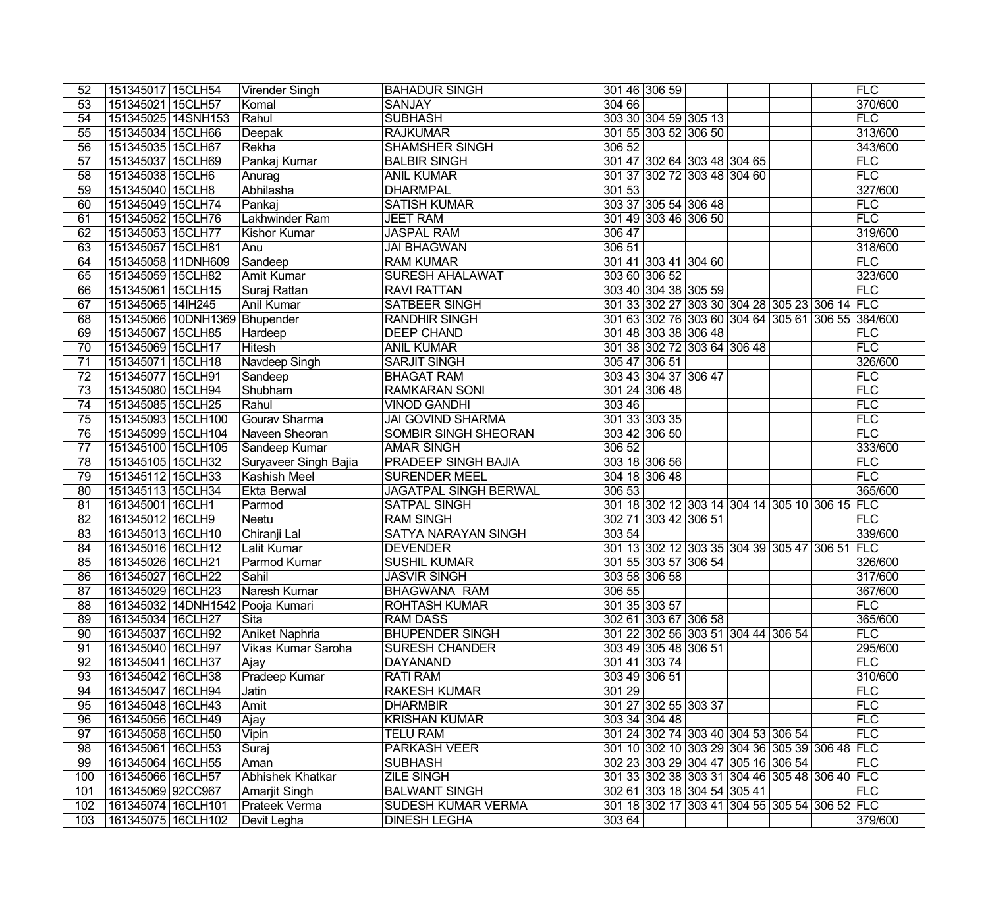| 52              | 151345017 15CLH54   |                     | Virender Singh                   | <b>BAHADUR SINGH</b>         |        | 301 46 306 59                      |  |                                    |                                               | FLC                                               |
|-----------------|---------------------|---------------------|----------------------------------|------------------------------|--------|------------------------------------|--|------------------------------------|-----------------------------------------------|---------------------------------------------------|
| 53              | 151345021 15CLH57   |                     | Komal                            | <b>SANJAY</b>                | 304 66 |                                    |  |                                    |                                               | 370/600                                           |
| 54              | 151345025 14SNH153  |                     | Rahul                            | <b>SUBHASH</b>               |        | 303 30 304 59 305 13               |  |                                    |                                               | FLC                                               |
| 55              | 151345034 15CLH66   |                     | Deepak                           | <b>RAJKUMAR</b>              |        | 301 55 303 52 306 50               |  |                                    |                                               | 313/600                                           |
| 56              | 151345035 15CLH67   |                     | Rekha                            | <b>SHAMSHER SINGH</b>        | 306 52 |                                    |  |                                    |                                               | 343/600                                           |
| 57              | 151345037 15CLH69   |                     | Pankaj Kumar                     | <b>BALBIR SINGH</b>          |        | 301 47 302 64 303 48 304 65        |  |                                    |                                               | FLC                                               |
| 58              | 151345038 15CLH6    |                     | Anurag                           | <b>ANIL KUMAR</b>            |        | 301 37 302 72 303 48 304 60        |  |                                    |                                               | FLC                                               |
| $\overline{59}$ | 151345040 15CLH8    |                     | Abhilasha                        | <b>DHARMPAL</b>              | 301 53 |                                    |  |                                    |                                               | 327/600                                           |
| 60              | 151345049 15CLH74   |                     | Pankaj                           | <b>SATISH KUMAR</b>          |        | 303 37 305 54 306 48               |  |                                    |                                               | <b>FLC</b>                                        |
| 61              | 151345052 15CLH76   |                     | Lakhwinder Ram                   | <b>JEET RAM</b>              |        | 301 49 303 46 306 50               |  |                                    |                                               | FLC                                               |
| 62              | 151345053 15CLH77   |                     | Kishor Kumar                     | <b>JASPAL RAM</b>            | 306 47 |                                    |  |                                    |                                               | 319/600                                           |
| 63              | 151345057 15CLH81   |                     | Anu                              | <b>JAI BHAGWAN</b>           | 306 51 |                                    |  |                                    |                                               | 318/600                                           |
| 64              | 151345058 11DNH609  |                     | Sandeep                          | <b>RAM KUMAR</b>             |        | 301 41 303 41 304 60               |  |                                    |                                               | FLC                                               |
| 65              | 151345059 15CLH82   |                     | <b>Amit Kumar</b>                | <b>SURESH AHALAWAT</b>       |        | 303 60 306 52                      |  |                                    |                                               | 323/600                                           |
| 66              | 151345061 15CLH15   |                     | Suraj Rattan                     | <b>RAVI RATTAN</b>           |        | 303 40 304 38 305 59               |  |                                    |                                               | FLC                                               |
| 67              | 151345065 14lH245   |                     | Anil Kumar                       | <b>SATBEER SINGH</b>         |        |                                    |  |                                    | 301 33 302 27 303 30 304 28 305 23 306 14 FLC |                                                   |
| 68              |                     | 151345066 10DNH1369 | Bhupender                        | <b>RANDHIR SINGH</b>         |        |                                    |  |                                    |                                               | 301 63 302 76 303 60 304 64 305 61 306 55 384/600 |
| 69              | 151345067 15CLH85   |                     | Hardeep                          | <b>DEEP CHAND</b>            |        | 301 48 303 38 306 48               |  |                                    |                                               | FLC                                               |
| 70              | 151345069 15CLH17   |                     | Hitesh                           | <b>ANIL KUMAR</b>            |        | 301 38 302 72 303 64 306 48        |  |                                    |                                               | FLC                                               |
| 71              | 151345071 15CLH18   |                     | Navdeep Singh                    | <b>SARJIT SINGH</b>          |        | 305 47 306 51                      |  |                                    |                                               | 326/600                                           |
| $\overline{72}$ | 151345077 15CLH91   |                     | Sandeep                          | <b>BHAGAT RAM</b>            |        | 303 43 304 37 306 47               |  |                                    |                                               | FLC                                               |
| 73              | 151345080 15CLH94   |                     | Shubham                          | <b>RAMKARAN SONI</b>         |        | 301 24 306 48                      |  |                                    |                                               | FLC                                               |
| 74              | 151345085 15CLH25   |                     | Rahul                            | <b>VINOD GANDHI</b>          | 303 46 |                                    |  |                                    |                                               | FLC                                               |
| 75              | 151345093 15CLH100  |                     | Gourav Sharma                    | <b>JAI GOVIND SHARMA</b>     |        | 301 33 303 35                      |  |                                    |                                               | FLC                                               |
| 76              | 151345099 15CLH104  |                     | Naveen Sheoran                   | SOMBIR SINGH SHEORAN         |        | 303 42 306 50                      |  |                                    |                                               | <b>FLC</b>                                        |
| $\overline{77}$ | 151345100 15CLH105  |                     | Sandeep Kumar                    | <b>AMAR SINGH</b>            | 306 52 |                                    |  |                                    |                                               | 333/600                                           |
| 78              | 151345105 15CLH32   |                     | Suryaveer Singh Bajia            | <b>PRADEEP SINGH BAJIA</b>   |        | 303 18 306 56                      |  |                                    |                                               | <b>FLC</b>                                        |
| 79              | 151345112 15CLH33   |                     | <b>Kashish Meel</b>              | <b>SURENDER MEEL</b>         |        | 304 18 306 48                      |  |                                    |                                               | FLC                                               |
| 80              | 151345113 15CLH34   |                     | <b>Ekta Berwal</b>               | <b>JAGATPAL SINGH BERWAL</b> | 306 53 |                                    |  |                                    |                                               | 365/600                                           |
| 81              | 161345001 16CLH1    |                     | Parmod                           | <b>SATPAL SINGH</b>          |        |                                    |  |                                    | 301 18 302 12 303 14 304 14 305 10 306 15 FLC |                                                   |
| $\overline{82}$ | 161345012 16CLH9    |                     | Neetu                            | <b>RAM SINGH</b>             |        | 302 71 303 42 306 51               |  |                                    |                                               | <b>FLC</b>                                        |
| $\overline{83}$ | 161345013 16CLH10   |                     | Chiranji Lal                     | <b>SATYA NARAYAN SINGH</b>   | 303 54 |                                    |  |                                    |                                               | 339/600                                           |
| 84              | 161345016 16CLH12   |                     | <b>Lalit Kumar</b>               | <b>DEVENDER</b>              |        |                                    |  |                                    | 301 13 302 12 303 35 304 39 305 47 306 51 FLC |                                                   |
| 85              | 161345026 16CLH21   |                     | Parmod Kumar                     | <b>SUSHIL KUMAR</b>          |        | 301 55 303 57 306 54               |  |                                    |                                               | 326/600                                           |
| 86              | 161345027 16CLH22   |                     | Sahil                            | <b>JASVIR SINGH</b>          |        | 303 58 306 58                      |  |                                    |                                               | 317/600                                           |
| 87              | 161345029 16CLH23   |                     | Naresh Kumar                     | <b>BHAGWANA RAM</b>          | 306 55 |                                    |  |                                    |                                               | 367/600                                           |
| $\overline{88}$ |                     |                     | 161345032 14DNH1542 Pooja Kumari | <b>ROHTASH KUMAR</b>         |        | 301 35 303 57                      |  |                                    |                                               | FLC                                               |
| 89              | 161345034   16CLH27 |                     | $\overline{Si}$ ta               | <b>RAM DASS</b>              |        | 302 61 303 67 306 58               |  |                                    |                                               | 365/600                                           |
| 90              | 161345037 16CLH92   |                     | Aniket Naphria                   | <b>BHUPENDER SINGH</b>       |        | 301 22 302 56 303 51 304 44 306 54 |  |                                    |                                               | <b>FLC</b>                                        |
| 91              | 161345040 16CLH97   |                     | <b>Vikas Kumar Saroha</b>        | <b>SURESH CHANDER</b>        |        | 303 49 305 48 306 51               |  |                                    |                                               | 295/600                                           |
| 92              | 161345041 16CLH37   |                     |                                  | <b>DAYANAND</b>              |        | 301 41 303 74                      |  |                                    |                                               | FLC                                               |
| 93              | 161345042 16CLH38   |                     | Ajay<br>Pradeep Kumar            | <b>RATI RAM</b>              |        | 303 49 306 51                      |  |                                    |                                               | 310/600                                           |
|                 | 161345047   16CLH94 |                     |                                  |                              |        |                                    |  |                                    |                                               | <b>FLC</b>                                        |
| 94              |                     |                     | Jatin                            | <b>RAKESH KUMAR</b>          | 301 29 | 301 27 302 55 303 37               |  |                                    |                                               |                                                   |
| 95              | 161345048   16CLH43 |                     | Amit                             | <b>DHARMBIR</b>              |        |                                    |  |                                    |                                               | <b>FLC</b>                                        |
| 96              | 161345056 16CLH49   |                     | Ajay                             | <b>KRISHAN KUMAR</b>         |        | 303 34 304 48                      |  |                                    |                                               | <b>FLC</b>                                        |
| 97              | 161345058 16CLH50   |                     | Vipin                            | <b>TELU RAM</b>              |        | 301 24 302 74 303 40 304 53 306 54 |  |                                    |                                               | <b>FLC</b>                                        |
| 98              | 161345061 16CLH53   |                     | Suraj                            | <b>PARKASH VEER</b>          |        |                                    |  |                                    | 301 10 302 10 303 29 304 36 305 39 306 48 FLC |                                                   |
| 99              | 161345064 16CLH55   |                     | Aman                             | <b>SUBHASH</b>               |        |                                    |  | 302 23 303 29 304 47 305 16 306 54 |                                               | <b>FLC</b>                                        |
| 100             | 161345066 16CLH57   |                     | <b>Abhishek Khatkar</b>          | <b>ZILE SINGH</b>            |        |                                    |  |                                    | 301 33 302 38 303 31 304 46 305 48 306 40 FLC |                                                   |
| 101             | 161345069 92CC967   |                     | Amarjit Singh                    | <b>BALWANT SINGH</b>         |        | 302 61 303 18 304 54 305 41        |  |                                    |                                               | <b>FLC</b>                                        |
| 102             | 161345074 16CLH101  |                     | <b>Prateek Verma</b>             | SUDESH KUMAR VERMA           |        |                                    |  |                                    | 301 18 302 17 303 41 304 55 305 54 306 52 FLC |                                                   |
| 103             | 161345075 16CLH102  |                     | Devit Legha                      | <b>DINESH LEGHA</b>          | 303 64 |                                    |  |                                    |                                               | 379/600                                           |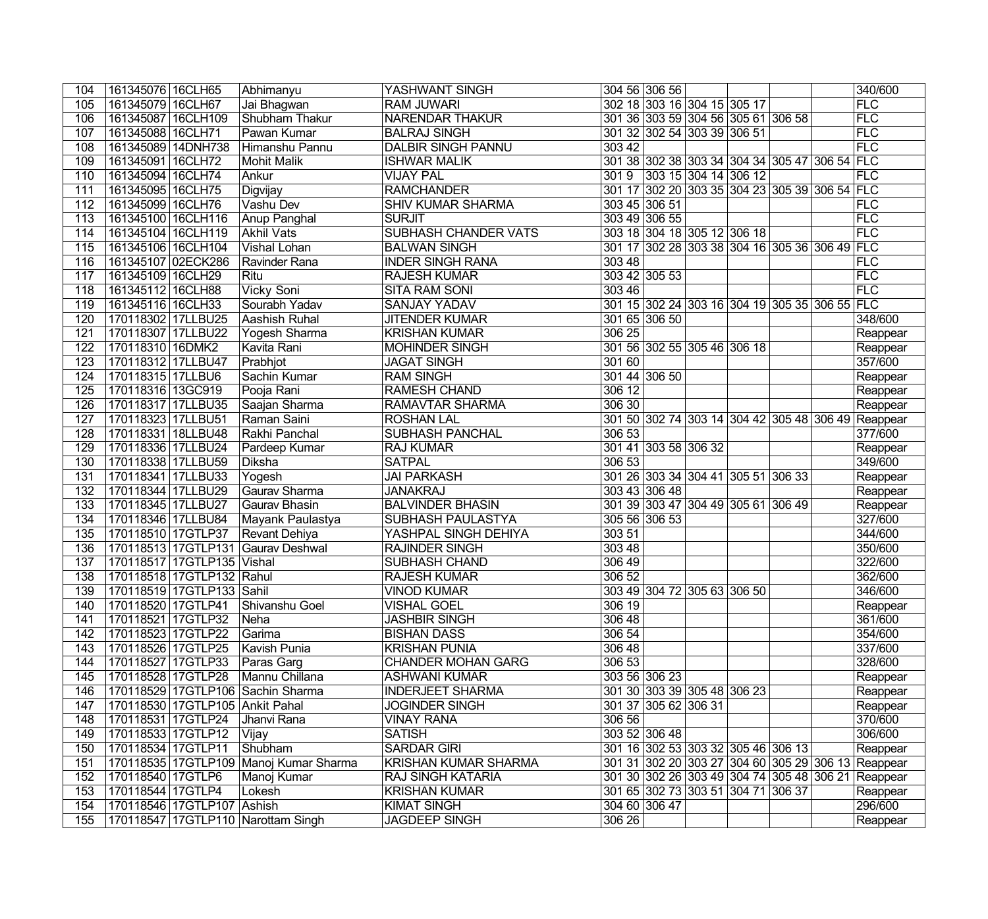| 104              | 161345076   16CLH65  |                                 | Abhimanyu                              | <b>YASHWANT SINGH</b>       |        | 304 56 306 56        |                                    |                                               | 340/600                                            |
|------------------|----------------------|---------------------------------|----------------------------------------|-----------------------------|--------|----------------------|------------------------------------|-----------------------------------------------|----------------------------------------------------|
| 105              | 161345079 16CLH67    |                                 | Jai Bhagwan                            | <b>RAM JUWARI</b>           |        |                      | 302 18 303 16 304 15 305 17        |                                               | FLC                                                |
| 106              | 161345087 16CLH109   |                                 | Shubham Thakur                         | <b>NARENDAR THAKUR</b>      |        |                      | 301 36 303 59 304 56 305 61 306 58 |                                               | FLC                                                |
| 107              | 161345088 16CLH71    |                                 | Pawan Kumar                            | <b>BALRAJ SINGH</b>         |        |                      | 301 32 302 54 303 39 306 51        |                                               | FLC                                                |
| 108              | 161345089 14DNH738   |                                 | Himanshu Pannu                         | <b>DALBIR SINGH PANNU</b>   | 303 42 |                      |                                    |                                               | FLC                                                |
| 109              | 161345091 16CLH72    |                                 | <b>Mohit Malik</b>                     | <b>ISHWAR MALIK</b>         |        |                      |                                    | 301 38 302 38 303 34 304 34 305 47 306 54 FLC |                                                    |
| 110              | 161345094 16CLH74    |                                 | Ankur                                  | <b>VIJAY PAL</b>            | 3019   |                      | $ 303 \t15 304 \t14 306 \t12$      |                                               | FLC                                                |
| 111              | 161345095 16CLH75    |                                 | Digvijay                               | <b>RAMCHANDER</b>           |        |                      |                                    | 301 17 302 20 303 35 304 23 305 39 306 54 FLC |                                                    |
| 112              | 161345099 16CLH76    |                                 | Vashu Dev                              | <b>SHIV KUMAR SHARMA</b>    |        | 303 45 306 51        |                                    |                                               | FLC                                                |
| 113              | 161345100 16CLH116   |                                 | Anup Panghal                           | <b>SURJIT</b>               |        | 303 49 306 55        |                                    |                                               | FLC                                                |
| 114              | 161345104 16CLH119   |                                 | Akhil Vats                             | <b>SUBHASH CHANDER VATS</b> |        |                      | 303 18 304 18 305 12 306 18        |                                               | FLC                                                |
| 115              | 161345106 16CLH104   |                                 | Vishal Lohan                           | <b>BALWAN SINGH</b>         |        |                      |                                    | 301 17 302 28 303 38 304 16 305 36 306 49 FLC |                                                    |
| 116              | 161345107 02ECK286   |                                 | Ravinder Rana                          | <b>INDER SINGH RANA</b>     | 303 48 |                      |                                    |                                               | FLC                                                |
| 117              | 161345109 16CLH29    |                                 | Ritu                                   | <b>RAJESH KUMAR</b>         |        | 303 42 305 53        |                                    |                                               | FLC                                                |
| 118              | 161345112 16CLH88    |                                 | Vicky Soni                             | <b>SITA RAM SONI</b>        | 303 46 |                      |                                    |                                               | FLC                                                |
| 119              | 161345116 16CLH33    |                                 | Sourabh Yadav                          | <b>SANJAY YADAV</b>         |        |                      |                                    | 301 15 302 24 303 16 304 19 305 35 306 55 FLC |                                                    |
| 120              | 170118302 17LLBU25   |                                 | Aashish Ruhal                          | <b>JITENDER KUMAR</b>       |        | 301 65 306 50        |                                    |                                               | 348/600                                            |
| 121              | 170118307 17LLBU22   |                                 | <b>Yogesh Sharma</b>                   | <b>KRISHAN KUMAR</b>        | 306 25 |                      |                                    |                                               | Reappear                                           |
| $\overline{122}$ | 170118310 16DMK2     |                                 | Kavita Rani                            | <b>MOHINDER SINGH</b>       |        |                      | 301 56 302 55 305 46 306 18        |                                               | Reappear                                           |
| 123              | 170118312 17LLBU47   |                                 | Prabhjot                               | <b>JAGAT SINGH</b>          | 301 60 |                      |                                    |                                               | 357/600                                            |
| 124              | 170118315 17LLBU6    |                                 | Sachin Kumar                           | <b>RAM SINGH</b>            |        | 301 44 306 50        |                                    |                                               | Reappear                                           |
| 125              | 170118316 13GC919    |                                 | Pooja Rani                             | <b>RAMESH CHAND</b>         | 306 12 |                      |                                    |                                               | Reappear                                           |
| 126              | 170118317 17LLBU35   |                                 | Saajan Sharma                          | RAMAVTAR SHARMA             | 306 30 |                      |                                    |                                               | Reappear                                           |
| 127              | 170118323 17LLBU51   |                                 | Raman Saini                            | <b>ROSHAN LAL</b>           |        |                      |                                    | 301 50 302 74 303 14 304 42 305 48 306 49     | Reappear                                           |
| 128              | 170118331 18LLBU48   |                                 | Rakhi Panchal                          | <b>SUBHASH PANCHAL</b>      | 306 53 |                      |                                    |                                               | 377/600                                            |
| 129              | 170118336 17LLBU24   |                                 | Pardeep Kumar                          | <b>RAJ KUMAR</b>            |        | 301 41 303 58 306 32 |                                    |                                               | Reappear                                           |
| 130              | 170118338 17LLBU59   |                                 | Diksha                                 | <b>SATPAL</b>               | 306 53 |                      |                                    |                                               | 349/600                                            |
| 131              | 170118341 17LLBU33   |                                 | Yogesh                                 | <b>JAI PARKASH</b>          |        |                      | 301 26 303 34 304 41 305 51 306 33 |                                               | Reappear                                           |
| 132              | 170118344 17LLBU29   |                                 | Gaurav Sharma                          | <b>JANAKRAJ</b>             |        | 303 43 306 48        |                                    |                                               | Reappear                                           |
| 133              | 170118345 17LLBU27   |                                 | Gaurav Bhasin                          | <b>BALVINDER BHASIN</b>     |        |                      | 301 39 303 47 304 49 305 61 306 49 |                                               | Reappear                                           |
| 134              | 170118346 17LLBU84   |                                 | Mayank Paulastya                       | SUBHASH PAULASTYA           |        | 305 56 306 53        |                                    |                                               | 327/600                                            |
| 135              | 170118510 17GTLP37   |                                 | Revant Dehiya                          | YASHPAL SINGH DEHIYA        | 303 51 |                      |                                    |                                               | 344/600                                            |
| 136              |                      |                                 | 170118513 17GTLP131 Gaurav Deshwal     | <b>RAJINDER SINGH</b>       | 303 48 |                      |                                    |                                               | 350/600                                            |
| 137              |                      | 170118517 17GTLP135 Vishal      |                                        | SUBHASH CHAND               | 30649  |                      |                                    |                                               | 322/600                                            |
| 138              |                      | 170118518 17GTLP132 Rahul       |                                        | <b>RAJESH KUMAR</b>         | 306 52 |                      |                                    |                                               | 362/600                                            |
| 139              |                      | 170118519 17GTLP133 Sahil       |                                        | <b>VINOD KUMAR</b>          |        |                      | 303 49 304 72 305 63 306 50        |                                               | 346/600                                            |
|                  |                      |                                 | 140 170118520 17GTLP41 Shivanshu Goel  | <b>VISHAL GOEL</b>          | 306 19 |                      |                                    |                                               | Reappear                                           |
| 141              | 170118521 17GTLP32   |                                 | Neha                                   | <b>JASHBIR SINGH</b>        | 306 48 |                      |                                    |                                               | 361/600                                            |
| 142              | 170118523   17GTLP22 |                                 | Garima                                 | <b>BISHAN DASS</b>          | 30654  |                      |                                    |                                               | 354/600                                            |
| 143              | 170118526 17GTLP25   |                                 | Kavish Punia                           | <b>KRISHAN PUNIA</b>        | 30648  |                      |                                    |                                               | 337/600                                            |
| 144              | 170118527 17GTLP33   |                                 | Paras Garg                             | <b>CHANDER MOHAN GARG</b>   | 306 53 |                      |                                    |                                               | 328/600                                            |
| 145              | 170118528 17GTLP28   |                                 | Mannu Chillana                         | <b>ASHWANI KUMAR</b>        |        | 303 56 306 23        |                                    |                                               | Reappear                                           |
| 146              |                      |                                 | 170118529 17GTLP106 Sachin Sharma      | <b>INDERJEET SHARMA</b>     |        |                      | 301 30 303 39 305 48 306 23        |                                               | Reappear                                           |
| 147              |                      | 170118530 17GTLP105 Ankit Pahal |                                        | <b>JOGINDER SINGH</b>       |        | 301 37 305 62 306 31 |                                    |                                               | Reappear                                           |
| 148              | 170118531 17GTLP24   |                                 | Jhanvi Rana                            | <b>VINAY RANA</b>           | 306 56 |                      |                                    |                                               | 370/600                                            |
| 149              | 170118533 17GTLP12   |                                 | Vijay                                  | <b>SATISH</b>               |        | 303 52 306 48        |                                    |                                               | 306/600                                            |
| 150              | 170118534 17GTLP11   |                                 | Shubham                                | <b>SARDAR GIRI</b>          |        |                      | 301 16 302 53 303 32 305 46 306 13 |                                               | Reappear                                           |
| 151              |                      |                                 | 170118535 17GTLP109 Manoj Kumar Sharma | <b>KRISHAN KUMAR SHARMA</b> |        |                      |                                    |                                               | 301 31 302 20 303 27 304 60 305 29 306 13 Reappear |
| 152              | 170118540 17GTLP6    |                                 | Manoj Kumar                            | <b>RAJ SINGH KATARIA</b>    |        |                      |                                    |                                               | 301 30 302 26 303 49 304 74 305 48 306 21 Reappear |
| 153              | 170118544 17GTLP4    |                                 | Lokesh                                 | <b>KRISHAN KUMAR</b>        |        |                      | 301 65 302 73 303 51 304 71 306 37 |                                               | Reappear                                           |
| 154              |                      | 170118546 17GTLP107 Ashish      |                                        | <b>KIMAT SINGH</b>          |        | 304 60 306 47        |                                    |                                               | 296/600                                            |
| 155              |                      |                                 | 170118547 17GTLP110 Narottam Singh     | <b>JAGDEEP SINGH</b>        | 306 26 |                      |                                    |                                               | Reappear                                           |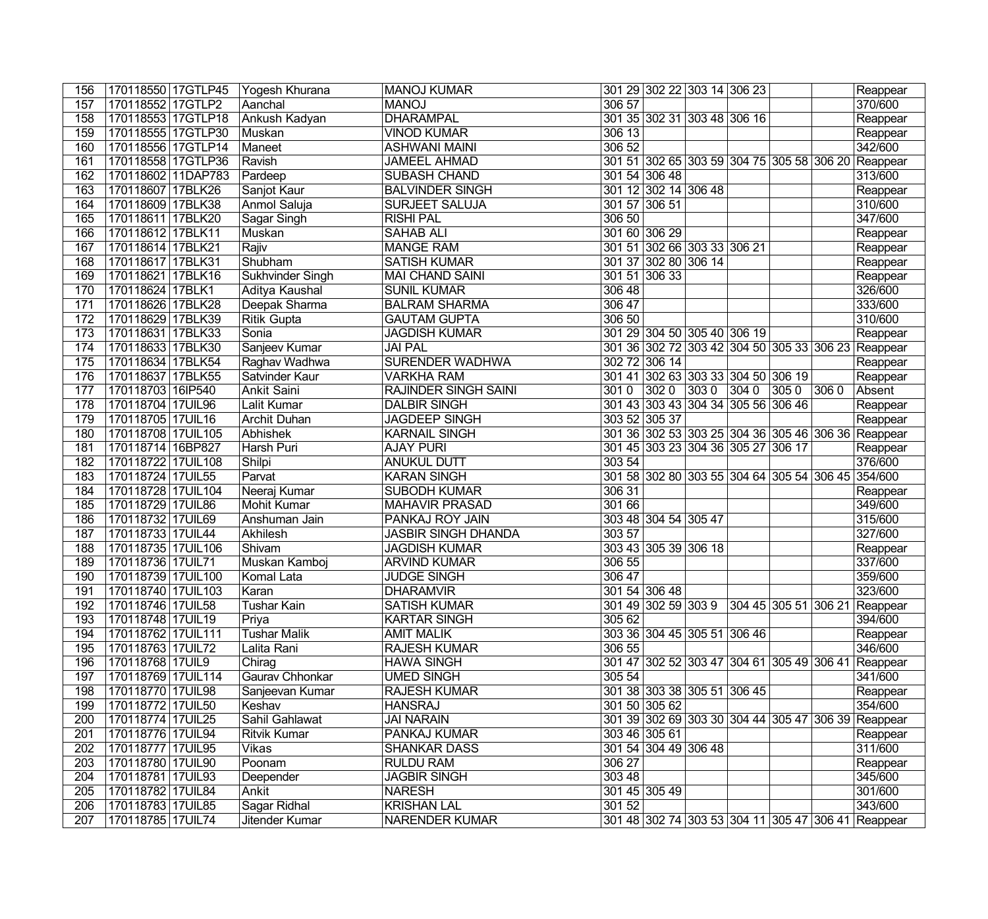| 156 | 170118550 17GTLP45  | Yogesh Khurana      | MANOJ KUMAR                 |        |                      | 301 29 302 22 303 14 306 23               |                      | Reappear                                           |
|-----|---------------------|---------------------|-----------------------------|--------|----------------------|-------------------------------------------|----------------------|----------------------------------------------------|
| 157 | 170118552 17GTLP2   | Aanchal             | <b>MANOJ</b>                | 306 57 |                      |                                           |                      | 370/600                                            |
| 158 | 170118553 17GTLP18  | Ankush Kadyan       | <b>DHARAMPAL</b>            |        |                      | 301 35 302 31 303 48 306 16               |                      | Reappear                                           |
| 159 | 170118555 17GTLP30  | Muskan              | <b>VINOD KUMAR</b>          | 306 13 |                      |                                           |                      | Reappear                                           |
| 160 | 170118556 17GTLP14  | Maneet              | <b>ASHWANI MAINI</b>        | 306 52 |                      |                                           |                      | 342/600                                            |
| 161 | 170118558 17GTLP36  | Ravish              | <b>JAMEEL AHMAD</b>         |        |                      |                                           |                      | 301 51 302 65 303 59 304 75 305 58 306 20 Reappear |
| 162 | 170118602 11DAP783  | Pardeep             | <b>SUBASH CHAND</b>         |        | 301 54 306 48        |                                           |                      | 313/600                                            |
| 163 | 170118607 17BLK26   | Sanjot Kaur         | <b>BALVINDER SINGH</b>      |        | 301 12 302 14 306 48 |                                           |                      | Reappear                                           |
| 164 | 170118609 17BLK38   | Anmol Saluja        | SURJEET SALUJA              |        | 301 57 306 51        |                                           |                      | 310/600                                            |
| 165 | 170118611 17BLK20   | Sagar Singh         | <b>RISHI PAL</b>            | 306 50 |                      |                                           |                      | 347/600                                            |
| 166 | 170118612 17BLK11   | Muskan              | <b>SAHAB ALI</b>            |        | 301 60 306 29        |                                           |                      | Reappear                                           |
| 167 | 170118614 17BLK21   | Rajiv               | <b>MANGE RAM</b>            |        |                      | 301 51 302 66 303 33 306 21               |                      | Reappear                                           |
| 168 | 170118617 17BLK31   | Shubham             | <b>SATISH KUMAR</b>         |        | 301 37 302 80 306 14 |                                           |                      | Reappear                                           |
| 169 | 170118621 17BLK16   | Sukhvinder Singh    | MAI CHAND SAINI             |        | 301 51 306 33        |                                           |                      | Reappear                                           |
| 170 | 170118624 17BLK1    | Aditya Kaushal      | <b>SUNIL KUMAR</b>          | 306 48 |                      |                                           |                      | 326/600                                            |
| 171 | 170118626 17BLK28   | Deepak Sharma       | <b>BALRAM SHARMA</b>        | 306 47 |                      |                                           |                      | 333/600                                            |
| 172 | 170118629 17BLK39   | <b>Ritik Gupta</b>  | <b>GAUTAM GUPTA</b>         | 306 50 |                      |                                           |                      | 310/600                                            |
| 173 | 170118631 17BLK33   | Sonia               | <b>JAGDISH KUMAR</b>        |        |                      | 301 29 304 50 305 40 306 19               |                      | Reappear                                           |
| 174 | 170118633 17BLK30   | Sanjeev Kumar       | <b>JAI PAL</b>              |        |                      |                                           |                      | 301 36 302 72 303 42 304 50 305 33 306 23 Reappear |
| 175 | 170118634 17BLK54   | Raghav Wadhwa       | <b>SURENDER WADHWA</b>      |        | 302 72 306 14        |                                           |                      | Reappear                                           |
| 176 | 170118637 17BLK55   | Satvinder Kaur      | <b>VARKHA RAM</b>           |        |                      | 301 41 302 63 303 33 304 50 306 19        |                      | Reappear                                           |
| 177 | 170118703 16IP540   | Ankit Saini         | <b>RAJINDER SINGH SAINI</b> | 3010   | $ 3020\rangle$       | $\sqrt{3030}$                             | $ 3040 $ 305 0 306 0 | Absent                                             |
| 178 | 170118704 17UIL96   | Lalit Kumar         | <b>DALBIR SINGH</b>         |        |                      | 301 43 303 43 304 34 305 56 306 46        |                      | Reappear                                           |
| 179 | 170118705 17UIL16   | Archit Duhan        | <b>JAGDEEP SINGH</b>        |        | 303 52 305 37        |                                           |                      | Reappear                                           |
| 180 | 170118708 17UIL105  | Abhishek            | <b>KARNAIL SINGH</b>        |        |                      |                                           |                      | 301 36 302 53 303 25 304 36 305 46 306 36 Reappear |
| 181 | 170118714 16BP827   | Harsh Puri          | <b>AJAY PURI</b>            |        |                      | 301 45 303 23 304 36 305 27 306 17        |                      | Reappear                                           |
| 182 | 170118722 17UIL108  | Shilpi              | <b>ANUKUL DUTT</b>          | 303 54 |                      |                                           |                      | 376/600                                            |
| 183 | 170118724 17UIL55   | Parvat              | <b>KARAN SINGH</b>          |        |                      |                                           |                      | 301 58 302 80 303 55 304 64 305 54 306 45 354/600  |
| 184 | 170118728 17UIL104  | Neeraj Kumar        | <b>SUBODH KUMAR</b>         | 306 31 |                      |                                           |                      | Reappear                                           |
| 185 | 170118729 17UIL86   | Mohit Kumar         | <b>MAHAVIR PRASAD</b>       | 301 66 |                      |                                           |                      | 349/600                                            |
| 186 | 170118732 17UIL69   | Anshuman Jain       | <b>PANKAJ ROY JAIN</b>      |        | 303 48 304 54 305 47 |                                           |                      | 315/600                                            |
| 187 | 170118733 17UIL44   | Akhilesh            | <b>JASBIR SINGH DHANDA</b>  | 303 57 |                      |                                           |                      | 327/600                                            |
| 188 | 170118735 17UIL106  | Shivam              | <b>JAGDISH KUMAR</b>        |        | 303 43 305 39 306 18 |                                           |                      | Reappear                                           |
| 189 | 170118736 17UIL71   | Muskan Kamboj       | <b>ARVIND KUMAR</b>         | 306 55 |                      |                                           |                      | 337/600                                            |
| 190 | 170118739 17UIL100  | Komal Lata          | <b>JUDGE SINGH</b>          | 306 47 |                      |                                           |                      | 359/600                                            |
| 191 | 170118740 17UIL103  | Karan               | <b>DHARAMVIR</b>            |        | 301 54 306 48        |                                           |                      | 323/600                                            |
| 192 | 170118746 17UIL58   | Tushar Kain         | <b>SATISH KUMAR</b>         |        |                      |                                           |                      | 301 49 302 59 303 9 304 45 305 51 306 21 Reappear  |
| 193 | 170118748 17UIL19   | Priya               | <b>KARTAR SINGH</b>         | 305 62 |                      |                                           |                      | 394/600                                            |
| 194 | 170118762 17UIL111  | <b>Tushar Malik</b> | <b>AMIT MALIK</b>           |        |                      | 303 36 304 45 305 51 306 46               |                      | Reappear                                           |
| 195 | 170118763 17UIL72   | Lalita Rani         | <b>RAJESH KUMAR</b>         | 306 55 |                      |                                           |                      | 346/600                                            |
| 196 | 170118768 17UIL9    | Chirag              | <b>HAWA SINGH</b>           |        |                      | 301 47 302 52 303 47 304 61 305 49 306 41 |                      | Reappear                                           |
| 197 | 170118769 17UIL114  | Gaurav Chhonkar     | UMED SINGH                  | 305 54 |                      |                                           |                      | 341/600                                            |
| 198 | 170118770   17UIL98 | Sanjeevan Kumar     | <b>RAJESH KUMAR</b>         |        |                      | 301 38 303 38 305 51 306 45               |                      | Reappear                                           |
| 199 | 170118772 17UIL50   | Keshav              | <b>HANSRAJ</b>              |        | 301 50 305 62        |                                           |                      | 354/600                                            |
| 200 | 170118774   17UIL25 | Sahil Gahlawat      | <b>JAI NARAIN</b>           |        |                      |                                           |                      | 301 39 302 69 303 30 304 44 305 47 306 39 Reappear |
| 201 | 170118776 17UIL94   | Ritvik Kumar        | PANKAJ KUMAR                |        | 303 46 305 61        |                                           |                      | Reappear                                           |
| 202 | 170118777   17UIL95 | <b>Vikas</b>        | <b>SHANKAR DASS</b>         |        | 301 54 304 49 306 48 |                                           |                      | 311/600                                            |
| 203 | 170118780 17UIL90   | Poonam              | <b>RULDU RAM</b>            | 306 27 |                      |                                           |                      | Reappear                                           |
| 204 | 170118781 17UIL93   | Deepender           | <b>JAGBIR SINGH</b>         | 303 48 |                      |                                           |                      | 345/600                                            |
| 205 | 170118782 17UIL84   | Ankit               | <b>NARESH</b>               |        | 301 45 305 49        |                                           |                      | 301/600                                            |
| 206 | 170118783 17UIL85   | Sagar Ridhal        | <b>KRISHAN LAL</b>          | 301 52 |                      |                                           |                      | 343/600                                            |
| 207 | 170118785 17UIL74   | Jitender Kumar      | NARENDER KUMAR              |        |                      |                                           |                      | 301 48 302 74 303 53 304 11 305 47 306 41 Reappear |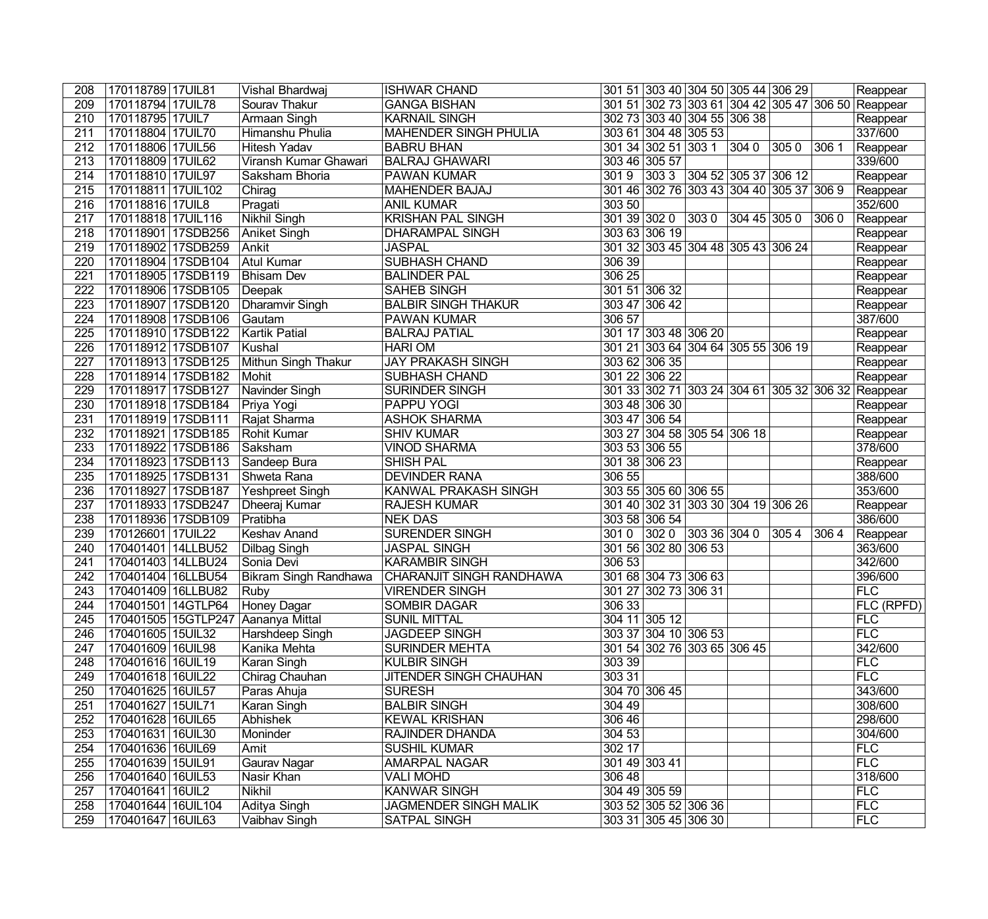| 208              | 170118789 17UIL81   | Vishal Bhardwaj                    | <b>ISHWAR CHAND</b>          |              |                      | 301 51 303 40 304 50 305 44 306 29        |                |                |       | Reappear                                           |
|------------------|---------------------|------------------------------------|------------------------------|--------------|----------------------|-------------------------------------------|----------------|----------------|-------|----------------------------------------------------|
| 209              | 170118794 17UIL78   | Sourav Thakur                      | <b>GANGA BISHAN</b>          |              |                      |                                           |                |                |       | 301 51 302 73 303 61 304 42 305 47 306 50 Reappear |
| 210              | 170118795 17UIL7    | <b>Armaan Singh</b>                | <b>KARNAIL SINGH</b>         |              |                      | 302 73 303 40 304 55 306 38               |                |                |       | Reappear                                           |
| 211              | 170118804 17UIL70   | Himanshu Phulia                    | <b>MAHENDER SINGH PHULIA</b> |              |                      | 303 61 304 48 305 53                      |                |                |       | 337/600                                            |
| $\overline{212}$ | 170118806 17UIL56   | <b>Hitesh Yadav</b>                | <b>BABRU BHAN</b>            |              | 301 34 302 51 303 1  |                                           | $ 3040\rangle$ | $ 3050\rangle$ | 306 1 | Reappear                                           |
| $\overline{213}$ | 170118809 17UIL62   | Viransh Kumar Ghawari              | <b>BALRAJ GHAWARI</b>        |              | 303 46 305 57        |                                           |                |                |       | 339/600                                            |
| 214              | 170118810 17UIL97   | Saksham Bhoria                     | <b>PAWAN KUMAR</b>           | 3019         |                      | $ 3033 $ $ 30452 30537 30612$             |                |                |       | Reappear                                           |
| $\overline{215}$ | 170118811 17UIL102  | Chirag                             | <b>MAHENDER BAJAJ</b>        |              |                      | 301 46 302 76 303 43 304 40 305 37 306 9  |                |                |       | Reappear                                           |
| $\overline{216}$ | 170118816 17UIL8    | Pragati                            | <b>ANIL KUMAR</b>            | 303 50       |                      |                                           |                |                |       | 352/600                                            |
| $\overline{217}$ | 170118818 17UIL116  | Nikhil Singh                       | <b>KRISHAN PAL SINGH</b>     | 301 39 302 0 |                      | $ 3030\rangle$                            | 304 45 305 0   |                | 3060  | Reappear                                           |
| 218              | 170118901 17SDB256  | Aniket Singh                       | DHARAMPAL SINGH              |              | 303 63 306 19        |                                           |                |                |       | Reappear                                           |
| $\overline{219}$ | 170118902 17SDB259  | Ankit                              | <b>JASPAL</b>                |              |                      | 301 32 303 45 304 48 305 43 306 24        |                |                |       | Reappear                                           |
| 220              | 170118904 17SDB104  | Atul Kumar                         | <b>SUBHASH CHAND</b>         | 306 39       |                      |                                           |                |                |       | Reappear                                           |
| 221              | 170118905 17SDB119  | <b>Bhisam Dev</b>                  | <b>BALINDER PAL</b>          | 306 25       |                      |                                           |                |                |       | Reappear                                           |
| 222              | 170118906 17SDB105  | Deepak                             | <b>SAHEB SINGH</b>           |              | 301 51 306 32        |                                           |                |                |       | Reappear                                           |
| 223              | 170118907 17SDB120  | Dharamvir Singh                    | <b>BALBIR SINGH THAKUR</b>   |              | 303 47 306 42        |                                           |                |                |       | Reappear                                           |
| 224              | 170118908 17SDB106  | Gautam                             | <b>PAWAN KUMAR</b>           | 306 57       |                      |                                           |                |                |       | 387/600                                            |
| $\overline{225}$ | 170118910 17SDB122  | <b>Kartik Patial</b>               | <b>BALRAJ PATIAL</b>         |              |                      | 301 17 303 48 306 20                      |                |                |       | Reappear                                           |
| 226              | 170118912 17SDB107  | Kushal                             | <b>HARI OM</b>               |              |                      | 301 21 303 64 304 64 305 55 306 19        |                |                |       | Reappear                                           |
| 227              | 170118913 17SDB125  | Mithun Singh Thakur                | <b>JAY PRAKASH SINGH</b>     |              | 303 62 306 35        |                                           |                |                |       | Reappear                                           |
| 228              | 170118914 17SDB182  | Mohit                              | SUBHASH CHAND                |              | 301 22 306 22        |                                           |                |                |       | Reappear                                           |
| 229              | 170118917 17SDB127  | Navinder Singh                     | SURINDER SINGH               |              |                      | 301 33 302 71 303 24 304 61 305 32 306 32 |                |                |       | Reappear                                           |
| 230              | 170118918 17SDB184  | Priya Yogi                         | <b>PAPPU YOGI</b>            |              | 303 48 306 30        |                                           |                |                |       | Reappear                                           |
| 231              | 170118919 17SDB111  | Rajat Sharma                       | <b>ASHOK SHARMA</b>          |              | 303 47 306 54        |                                           |                |                |       | Reappear                                           |
| 232              | 170118921 17SDB185  | <b>Rohit Kumar</b>                 | <b>SHIV KUMAR</b>            |              |                      | 303 27 304 58 305 54 306 18               |                |                |       | Reappear                                           |
| 233              | 170118922 17SDB186  | Saksham                            | <b>VINOD SHARMA</b>          |              | 303 53 306 55        |                                           |                |                |       | 378/600                                            |
| 234              | 170118923 17SDB113  | Sandeep Bura                       | <b>SHISH PAL</b>             |              | 301 38 306 23        |                                           |                |                |       | Reappear                                           |
| 235              | 170118925 17SDB131  | Shweta Rana                        | <b>DEVINDER RANA</b>         | 306 55       |                      |                                           |                |                |       | 388/600                                            |
| 236              | 170118927 17SDB187  | Yeshpreet Singh                    | KANWAL PRAKASH SINGH         |              | 303 55 305 60 306 55 |                                           |                |                |       | 353/600                                            |
| 237              | 170118933 17SDB247  | Dheeraj Kumar                      | <b>RAJESH KUMAR</b>          |              |                      | 301 40 302 31 303 30 304 19 306 26        |                |                |       | Reappear                                           |
| 238              | 170118936 17SDB109  | Pratibha                           | <b>NEK DAS</b>               |              | 303 58 306 54        |                                           |                |                |       | 386/600                                            |
| 239              | 170126601 17UIL22   | Keshav Anand                       | <b>SURENDER SINGH</b>        | 3010         | $ 3020\rangle$       | 30336 3040                                |                | 3054           | 3064  | Reappear                                           |
| 240              | 170401401 14LLBU52  | Dilbag Singh                       | <b>JASPAL SINGH</b>          |              | 301 56 302 80 306 53 |                                           |                |                |       | 363/600                                            |
| 241              | 170401403 14LLBU24  | Sonia Devi                         | <b>KARAMBIR SINGH</b>        | 306 53       |                      |                                           |                |                |       | 342/600                                            |
| 242              | 170401404 16LLBU54  | <b>Bikram Singh Randhawa</b>       | CHARANJIT SINGH RANDHAWA     |              |                      | 301 68 304 73 306 63                      |                |                |       | 396/600                                            |
| $\overline{243}$ | 170401409 16LLBU82  | Ruby                               | <b>VIRENDER SINGH</b>        |              | 301 27 302 73 306 31 |                                           |                |                |       | <b>FLC</b>                                         |
| $\overline{244}$ | 170401501 14GTLP64  | Honey Dagar                        | <b>SOMBIR DAGAR</b>          | 30633        |                      |                                           |                |                |       | FLC (RPFD)                                         |
| 245              |                     | 170401505 15GTLP247 Aananya Mittal | <b>SUNIL MITTAL</b>          |              | 304 11 305 12        |                                           |                |                |       | <b>FLC</b>                                         |
| 246              | 170401605 15UIL32   | Harshdeep Singh                    | <b>JAGDEEP SINGH</b>         |              |                      | 303 37 304 10 306 53                      |                |                |       | FLC                                                |
| 247              | 170401609 16UIL98   | Kanika Mehta                       | <b>SURINDER MEHTA</b>        |              |                      | 301 54 302 76 303 65 306 45               |                |                |       | 342/600                                            |
| 248              | 170401616 16UIL19   | Karan Singh                        | <b>KULBIR SINGH</b>          | 303 39       |                      |                                           |                |                |       | <b>FLC</b>                                         |
| 249              | 170401618 16UIL22   | Chirag Chauhan                     | JITENDER SINGH CHAUHAN       | 303 31       |                      |                                           |                |                |       | <b>FLC</b>                                         |
| 250              | 170401625   16UIL57 | Paras Ahuja                        | <b>SURESH</b>                |              | 304 70 306 45        |                                           |                |                |       | 343/600                                            |
| 251              | 170401627 15UIL71   | Karan Singh                        | <b>BALBIR SINGH</b>          | 304 49       |                      |                                           |                |                |       | 308/600                                            |
| 252              | 170401628 16UIL65   | Abhishek                           | <b>KEWAL KRISHAN</b>         | 306 46       |                      |                                           |                |                |       | 298/600                                            |
| 253              | 170401631   16UIL30 | Moninder                           | RAJINDER DHANDA              | 304 53       |                      |                                           |                |                |       | 304/600                                            |
| 254              | 170401636 16UIL69   | Amit                               | <b>SUSHIL KUMAR</b>          | 302 17       |                      |                                           |                |                |       | FLC                                                |
| 255              | 170401639 15UIL91   | Gaurav Nagar                       | <b>AMARPAL NAGAR</b>         |              | 301 49 303 41        |                                           |                |                |       | FLC                                                |
| 256              | 170401640 16UIL53   | Nasir Khan                         | <b>VALI MOHD</b>             | 306 48       |                      |                                           |                |                |       | 318/600                                            |
| 257              | 170401641 16UIL2    | Nikhil                             | <b>KANWAR SINGH</b>          |              | 304 49 305 59        |                                           |                |                |       | FLC                                                |
| 258              | 170401644 16UIL104  | Aditya Singh                       | <b>JAGMENDER SINGH MALIK</b> |              |                      | 303 52 305 52 306 36                      |                |                |       | FLC                                                |
| 259              | 170401647 16UIL63   | Vaibhav Singh                      | <b>SATPAL SINGH</b>          |              |                      | 303 31 305 45 306 30                      |                |                |       | <b>FLC</b>                                         |
|                  |                     |                                    |                              |              |                      |                                           |                |                |       |                                                    |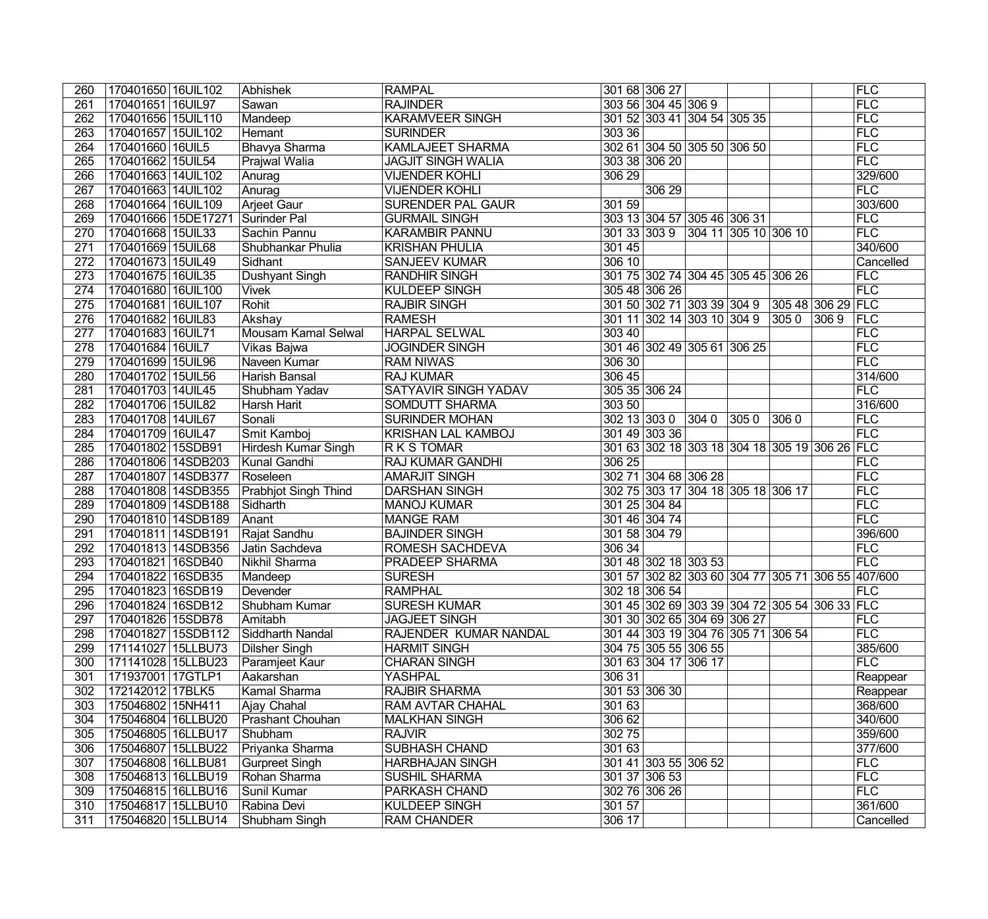| 260              | 170401650 16UIL102    | Abhishek                    | <b>RAMPAL</b>             |        | 301 68 306 27        |                                    |      |      |                                               | FLC                                               |
|------------------|-----------------------|-----------------------------|---------------------------|--------|----------------------|------------------------------------|------|------|-----------------------------------------------|---------------------------------------------------|
| 261              | 170401651 16UIL97     | Sawan                       | <b>RAJINDER</b>           |        | 303 56 304 45 306 9  |                                    |      |      |                                               | FLC                                               |
| 262              | 170401656 15UIL110    | Mandeep                     | <b>KARAMVEER SINGH</b>    |        |                      | 301 52 303 41 304 54 305 35        |      |      |                                               | FLC                                               |
| 263              | 170401657 15UIL102    | Hemant                      | <b>SURINDER</b>           | 303 36 |                      |                                    |      |      |                                               | FLC                                               |
| $\overline{264}$ | 170401660 16UIL5      | <b>Bhavya Sharma</b>        | <b>KAMLAJEET SHARMA</b>   |        |                      | 302 61 304 50 305 50 306 50        |      |      |                                               | FLC                                               |
| $\overline{265}$ | 170401662 15UIL54     | <b>Prajwal Walia</b>        | <b>JAGJIT SINGH WALIA</b> |        | 303 38 306 20        |                                    |      |      |                                               | FLC                                               |
| 266              | 170401663 14UIL102    | Anurag                      | <b>VIJENDER KOHLI</b>     | 306 29 |                      |                                    |      |      |                                               | 329/600                                           |
| 267              | 170401663 14UIL102    | Anurag                      | <b>VIJENDER KOHLI</b>     |        | 306 29               |                                    |      |      |                                               | FLC                                               |
| 268              | 170401664 16UIL109    | Arjeet Gaur                 | <b>SURENDER PAL GAUR</b>  | 301 59 |                      |                                    |      |      |                                               | 303/600                                           |
| 269              | 170401666 15DE17271   | Surinder Pal                | <b>GURMAIL SINGH</b>      |        |                      | 303 13 304 57 305 46 306 31        |      |      |                                               | FLC                                               |
| $\overline{270}$ | 170401668 15UIL33     | Sachin Pannu                | <b>KARAMBIR PANNU</b>     |        |                      | 301 33 303 9 304 11 305 10 306 10  |      |      |                                               | FLC                                               |
| 271              | 170401669 15UIL68     | Shubhankar Phulia           | <b>KRISHAN PHULIA</b>     | 301 45 |                      |                                    |      |      |                                               | 340/600                                           |
| $\overline{272}$ | 170401673 15UIL49     | Sidhant                     | <b>SANJEEV KUMAR</b>      | 306 10 |                      |                                    |      |      |                                               | Cancelled                                         |
| 273              | 170401675 16UIL35     | <b>Dushyant Singh</b>       | <b>RANDHIR SINGH</b>      |        |                      | 301 75 302 74 304 45 305 45 306 26 |      |      |                                               | FLC                                               |
| 274              | 170401680 16UIL100    | <b>Vivek</b>                | <b>KULDEEP SINGH</b>      |        | 305 48 306 26        |                                    |      |      |                                               | FLC                                               |
| $\overline{275}$ | 170401681 16UIL107    | Rohit                       | <b>RAJBIR SINGH</b>       |        |                      |                                    |      |      | 301 50 302 71 303 39 304 9 305 48 306 29 FLC  |                                                   |
| $\overline{276}$ | 170401682 16UIL83     | Akshay                      | <b>RAMESH</b>             |        |                      | 301 11 302 14 303 10 304 9         |      | 3050 | $ 3069\rangle$                                | <b>FLC</b>                                        |
| $\overline{277}$ | 170401683 16UIL71     | Mousam Kamal Selwal         | <b>HARPAL SELWAL</b>      | 30340  |                      |                                    |      |      |                                               | FLC                                               |
| $\overline{278}$ | 170401684 16UIL7      | Vikas Bajwa                 | <b>JOGINDER SINGH</b>     |        |                      | 301 46 302 49 305 61 306 25        |      |      |                                               | FLC                                               |
| 279              | 170401699 15UIL96     | Naveen Kumar                | <b>RAM NIWAS</b>          | 306 30 |                      |                                    |      |      |                                               | FLC                                               |
| 280              | 170401702 15UIL56     | Harish Bansal               | <b>RAJ KUMAR</b>          | 306 45 |                      |                                    |      |      |                                               | 314/600                                           |
| $\overline{281}$ | 170401703 14UIL45     | Shubham Yadav               | SATYAVIR SINGH YADAV      |        | 305 35 306 24        |                                    |      |      |                                               | FLC                                               |
| 282              | 170401706 15UIL82     | Harsh Harit                 | SOMDUTT SHARMA            | 303 50 |                      |                                    |      |      |                                               | 316/600                                           |
| 283              | 170401708 14UIL67     | Sonali                      | <b>SURINDER MOHAN</b>     |        | 302 13 303 0 304 0   |                                    | 3050 | 3060 |                                               | FLC                                               |
| 284              | 170401709   16UIL47   | Smit Kamboj                 | KRISHAN LAL KAMBOJ        |        | 301 49 303 36        |                                    |      |      |                                               | FLC                                               |
| 285              | 170401802 15SDB91     | Hirdesh Kumar Singh         | R K S TOMAR               |        |                      |                                    |      |      | 301 63 302 18 303 18 304 18 305 19 306 26 FLC |                                                   |
| 286              | 170401806 14SDB203    | Kunal Gandhi                | <b>RAJ KUMAR GANDHI</b>   | 306 25 |                      |                                    |      |      |                                               | <b>FLC</b>                                        |
| $\overline{287}$ | 170401807 14SDB377    | Roseleen                    | <b>AMARJIT SINGH</b>      |        |                      | 302 71 304 68 306 28               |      |      |                                               | FLC                                               |
| 288              | 170401808 14SDB355    | <b>Prabhjot Singh Thind</b> | <b>DARSHAN SINGH</b>      |        |                      | 302 75 303 17 304 18 305 18 306 17 |      |      |                                               | FLC                                               |
| 289              | 170401809 14SDB188    | Sidharth                    | <b>MANOJ KUMAR</b>        |        | 301 25 304 84        |                                    |      |      |                                               | FLC                                               |
| 290              | 170401810 14SDB189    | Anant                       | <b>MANGE RAM</b>          |        | 301 46 304 74        |                                    |      |      |                                               | FLC                                               |
| 291              | 170401811 14SDB191    | Rajat Sandhu                | <b>BAJINDER SINGH</b>     |        | 301 58 304 79        |                                    |      |      |                                               | 396/600                                           |
| 292              | 170401813 14SDB356    | Jatin Sachdeva              | <b>ROMESH SACHDEVA</b>    | 306 34 |                      |                                    |      |      |                                               | FLC                                               |
| 293              | 170401821 16SDB40     | Nikhil Sharma               | <b>PRADEEP SHARMA</b>     |        |                      | 301 48 302 18 303 53               |      |      |                                               | FLC                                               |
| 294              | 170401822 16SDB35     | Mandeep                     | <b>SURESH</b>             |        |                      |                                    |      |      |                                               | 301 57 302 82 303 60 304 77 305 71 306 55 407/600 |
| 295              | 170401823 16SDB19     | Devender                    | <b>RAMPHAL</b>            |        | 302 18 306 54        |                                    |      |      |                                               | FLC                                               |
|                  | 296 170401824 16SDB12 | Shubham Kumar               | <b>SURESH KUMAR</b>       |        |                      |                                    |      |      | 301 45 302 69 303 39 304 72 305 54 306 33 FLC |                                                   |
| 297              | 170401826 15SDB78     | Amitabh                     | <b>JAGJEET SINGH</b>      |        |                      | 301 30 302 65 304 69 306 27        |      |      |                                               | <b>FLC</b>                                        |
| 298              | 170401827 15SDB112    | Siddharth Nandal            | RAJENDER KUMAR NANDAL     |        |                      | 301 44 303 19 304 76 305 71 306 54 |      |      |                                               | FLC                                               |
| 299              | 171141027 15LLBU73    | Dilsher Singh               | <b>HARMIT SINGH</b>       |        |                      | 304 75 305 55 306 55               |      |      |                                               | 385/600                                           |
| 300              | 171141028 15LLBU23    | Paramjeet Kaur              | <b>CHARAN SINGH</b>       |        | 301 63 304 17 306 17 |                                    |      |      |                                               | FLC                                               |
| 301              | 171937001 17GTLP1     | Aakarshan                   | <b>YASHPAL</b>            | 306 31 |                      |                                    |      |      |                                               | Reappear                                          |
| 302              | 172142012   17BLK5    | Kamal Sharma                | <b>RAJBIR SHARMA</b>      |        | 301 53 306 30        |                                    |      |      |                                               | Reappear                                          |
| 303              | 175046802 15NH411     | Ajay Chahal                 | <b>RAM AVTAR CHAHAL</b>   | 301 63 |                      |                                    |      |      |                                               | 368/600                                           |
| 304              | 175046804 16LLBU20    | Prashant Chouhan            | <b>MALKHAN SINGH</b>      | 306 62 |                      |                                    |      |      |                                               | 340/600                                           |
| 305              | 175046805 16LLBU17    | Shubham                     | <b>RAJVIR</b>             | 30275  |                      |                                    |      |      |                                               | 359/600                                           |
| 306              | 175046807   15LLBU22  | Priyanka Sharma             | <b>SUBHASH CHAND</b>      | 301 63 |                      |                                    |      |      |                                               | 377/600                                           |
| 307              | 175046808 16LLBU81    | Gurpreet Singh              | <b>HARBHAJAN SINGH</b>    |        | 301 41 303 55 306 52 |                                    |      |      |                                               | <b>FLC</b>                                        |
| 308              | 175046813 16LLBU19    | Rohan Sharma                | <b>SUSHIL SHARMA</b>      |        | 301 37 306 53        |                                    |      |      |                                               | FLC                                               |
| 309              | 175046815 16LLBU16    | Sunil Kumar                 | PARKASH CHAND             |        | 302 76 306 26        |                                    |      |      |                                               | FLC                                               |
| 310              | 175046817 15LLBU10    | Rabina Devi                 | <b>KULDEEP SINGH</b>      | 30157  |                      |                                    |      |      |                                               | 361/600                                           |
| 311              | 175046820 15LLBU14    | Shubham Singh               | <b>RAM CHANDER</b>        | 306 17 |                      |                                    |      |      |                                               | Cancelled                                         |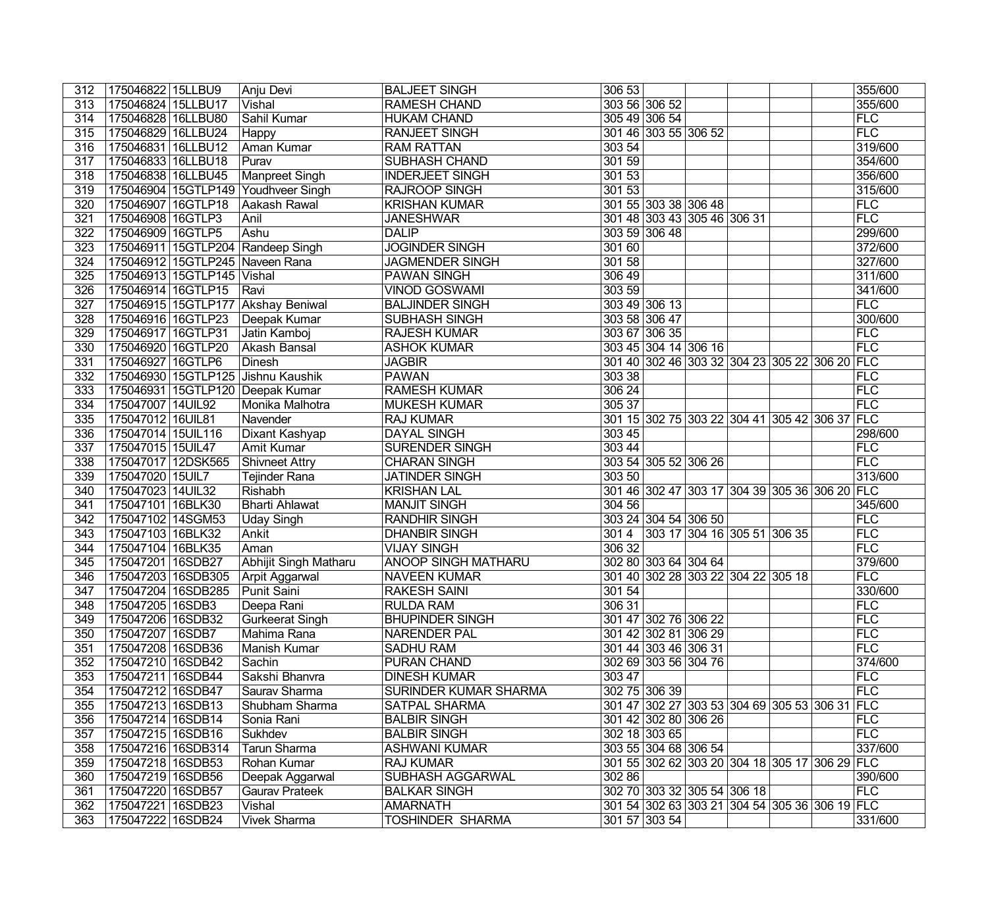| 312              | 175046822   15LLBU9                 |          | Anju Devi              | <b>BALJEET SINGH</b>         | 306 53        |                                           |  |                                               | 355/600    |
|------------------|-------------------------------------|----------|------------------------|------------------------------|---------------|-------------------------------------------|--|-----------------------------------------------|------------|
| 313              | 175046824 15LLBU17                  |          | Vishal                 | <b>RAMESH CHAND</b>          | 303 56 306 52 |                                           |  |                                               | 355/600    |
| 314              | 175046828 16LLBU80                  |          | Sahil Kumar            | <b>HUKAM CHAND</b>           |               | 305 49 306 54                             |  |                                               | FLC        |
| 315              | 175046829 16LLBU24                  |          | Happy                  | <b>RANJEET SINGH</b>         |               | 301 46 303 55 306 52                      |  |                                               | FLC        |
| 316              | 175046831 16LLBU12                  |          | <b>Aman Kumar</b>      | <b>RAM RATTAN</b>            | 303 54        |                                           |  |                                               | 319/600    |
| 317              | 175046833 16LLBU18                  |          | Purav                  | <b>SUBHASH CHAND</b>         | 301 59        |                                           |  |                                               | 354/600    |
| 318              | 175046838 16LLBU45                  |          | Manpreet Singh         | <b>INDERJEET SINGH</b>       | 30153         |                                           |  |                                               | 356/600    |
| 319              | 175046904 15GTLP149 Youdhveer Singh |          |                        | <b>RAJROOP SINGH</b>         | 30153         |                                           |  |                                               | 315/600    |
| 320              | 175046907                           | 16GTLP18 | Aakash Rawal           | <b>KRISHAN KUMAR</b>         |               | 301 55 303 38 306 48                      |  |                                               | FLC        |
| $\overline{321}$ | 175046908 16GTLP3                   |          | Anil                   | <b>JANESHWAR</b>             |               | 301 48 303 43 305 46 306 31               |  |                                               | FLC        |
| $\overline{322}$ | 175046909 16GTLP5                   |          | Ashu                   | <b>DALIP</b>                 |               | 303 59 306 48                             |  |                                               | 299/600    |
| 323              | 175046911 15GTLP204 Randeep Singh   |          |                        | <b>JOGINDER SINGH</b>        | 301 60        |                                           |  |                                               | 372/600    |
| $\overline{324}$ | 175046912 15GTLP245 Naveen Rana     |          |                        | <b>JAGMENDER SINGH</b>       | 301 58        |                                           |  |                                               | 327/600    |
| 325              | 175046913 15GTLP145 Vishal          |          |                        | <b>PAWAN SINGH</b>           | 306 49        |                                           |  |                                               | 311/600    |
| 326              | 175046914 16GTLP15                  |          | Ravi                   | <b>VINOD GOSWAMI</b>         | 303 59        |                                           |  |                                               | 341/600    |
| 327              | 175046915 15GTLP177 Akshay Beniwal  |          |                        | <b>BALJINDER SINGH</b>       |               | 303 49 306 13                             |  |                                               | <b>FLC</b> |
| $\overline{328}$ | 175046916 16GTLP23                  |          | Deepak Kumar           | <b>SUBHASH SINGH</b>         | 303 58 306 47 |                                           |  |                                               | 300/600    |
| 329              | 175046917 16GTLP31                  |          | Jatin Kamboj           | <b>RAJESH KUMAR</b>          |               | 303 67 306 35                             |  |                                               | FLC        |
| 330              | 175046920 16GTLP20                  |          | Akash Bansal           | <b>ASHOK KUMAR</b>           |               | 303 45 304 14 306 16                      |  |                                               | FLC        |
| 331              | 175046927 16GTLP6                   |          | Dinesh                 | <b>JAGBIR</b>                |               |                                           |  | 301 40 302 46 303 32 304 23 305 22 306 20 FLC |            |
| 332              | 175046930 15GTLP125 Jishnu Kaushik  |          |                        | <b>PAWAN</b>                 | 303 38        |                                           |  |                                               | FLC        |
| 333              | 175046931 15GTLP120 Deepak Kumar    |          |                        | <b>RAMESH KUMAR</b>          | 306 24        |                                           |  |                                               | FLC        |
| $\overline{334}$ | 175047007 14UIL92                   |          | Monika Malhotra        | <b>MUKESH KUMAR</b>          | 305 37        |                                           |  |                                               | FLC        |
| 335              | 175047012 16UIL81                   |          | Navender               | <b>RAJ KUMAR</b>             |               | 301 15 302 75 303 22 304 41 305 42 306 37 |  |                                               | <b>FLC</b> |
| 336              | 175047014 15UIL116                  |          | Dixant Kashyap         | <b>DAYAL SINGH</b>           | 303 45        |                                           |  |                                               | 298/600    |
| 337              | 175047015 15UIL47                   |          | <b>Amit Kumar</b>      | <b>SURENDER SINGH</b>        | 303 44        |                                           |  |                                               | <b>FLC</b> |
| 338              | 175047017 12DSK565                  |          | <b>Shivneet Attry</b>  | <b>CHARAN SINGH</b>          |               | 303 54 305 52 306 26                      |  |                                               | FLC        |
| 339              | 175047020 15UIL7                    |          | <b>Tejinder Rana</b>   | <b>JATINDER SINGH</b>        | 303 50        |                                           |  |                                               | 313/600    |
| 340              | 175047023 14UIL32                   |          | Rishabh                | <b>KRISHAN LAL</b>           |               |                                           |  | 301 46 302 47 303 17 304 39 305 36 306 20 FLC |            |
| 341              | 175047101 16BLK30                   |          | <b>Bharti Ahlawat</b>  | <b>MANJIT SINGH</b>          | 304 56        |                                           |  |                                               | 345/600    |
| $\overline{342}$ | 175047102 14SGM53                   |          | <b>Uday Singh</b>      | <b>RANDHIR SINGH</b>         |               | 303 24 304 54 306 50                      |  |                                               | FLC        |
| $\overline{343}$ | 175047103 16BLK32                   |          | Ankit                  | <b>DHANBIR SINGH</b>         | 3014          | 303 17 304 16 305 51 306 35               |  |                                               | FLC        |
| 344              | 175047104 16BLK35                   |          | Aman                   | <b>VIJAY SINGH</b>           | 306 32        |                                           |  |                                               | FLC        |
| 345              | 175047201 16SDB27                   |          | Abhijit Singh Matharu  | <b>ANOOP SINGH MATHARU</b>   |               | 302 80 303 64 304 64                      |  |                                               | 379/600    |
| 346              | 175047203 16SDB305                  |          | Arpit Aggarwal         | <b>NAVEEN KUMAR</b>          |               | 301 40 302 28 303 22 304 22 305 18        |  |                                               | FLC        |
| 347              | 175047204 16SDB285                  |          | Punit Saini            | <b>RAKESH SAINI</b>          | 30154         |                                           |  |                                               | 330/600    |
| 348              | 175047205 16SDB3                    |          | Deepa Rani             | <b>RULDA RAM</b>             | 306 31        |                                           |  |                                               | <b>FLC</b> |
| 349              | 175047206 16SDB32                   |          | <b>Gurkeerat Singh</b> | <b>BHUPINDER SINGH</b>       |               | 301 47 302 76 306 22                      |  |                                               | <b>FLC</b> |
| 350              | 175047207 16SDB7                    |          | Mahima Rana            | <b>NARENDER PAL</b>          |               | 301 42 302 81 306 29                      |  |                                               | <b>FLC</b> |
| 351              | 175047208 16SDB36                   |          | Manish Kumar           | <b>SADHU RAM</b>             |               | 301 44 303 46 306 31                      |  |                                               | FLC        |
| 352              | 175047210 16SDB42                   |          | Sachin                 | <b>PURAN CHAND</b>           |               | 302 69 303 56 304 76                      |  |                                               | 374/600    |
| 353              | 175047211   16SDB44                 |          | Sakshi Bhanvra         | <b>DINESH KUMAR</b>          | 303 47        |                                           |  |                                               | FLC        |
| 354              | 175047212 16SDB47                   |          | Saurav Sharma          | <b>SURINDER KUMAR SHARMA</b> |               | 302 75 306 39                             |  |                                               | FLC        |
| 355              | 175047213 16SDB13                   |          | Shubham Sharma         | <b>SATPAL SHARMA</b>         |               |                                           |  | 301 47 302 27 303 53 304 69 305 53 306 31 FLC |            |
| 356              | 175047214   16SDB14                 |          | Sonia Rani             | <b>BALBIR SINGH</b>          |               | 301 42 302 80 306 26                      |  |                                               | <b>FLC</b> |
| 357              | 175047215 16SDB16                   |          | Sukhdev                | <b>BALBIR SINGH</b>          |               | 302 18 303 65                             |  |                                               | <b>FLC</b> |
| 358              | 175047216   16SDB314                |          | <b>Tarun Sharma</b>    | <b>ASHWANI KUMAR</b>         |               | 303 55 304 68 306 54                      |  |                                               | 337/600    |
| 359              | 175047218 16SDB53                   |          | Rohan Kumar            | <b>RAJ KUMAR</b>             |               |                                           |  | 301 55 302 62 303 20 304 18 305 17 306 29 FLC |            |
| 360              | 175047219 16SDB56                   |          | Deepak Aggarwal        | <b>SUBHASH AGGARWAL</b>      | 302 86        |                                           |  |                                               | 390/600    |
| 361              | 175047220 16SDB57                   |          | <b>Gaurav Prateek</b>  | <b>BALKAR SINGH</b>          |               | 302 70 303 32 305 54 306 18               |  |                                               | FLC        |
| 362              | 175047221 16SDB23                   |          | Vishal                 | <b>AMARNATH</b>              |               |                                           |  | 301 54 302 63 303 21 304 54 305 36 306 19 FLC |            |
| 363              | 175047222 16SDB24                   |          | <b>Vivek Sharma</b>    | TOSHINDER SHARMA             |               | 301 57 303 54                             |  |                                               | 331/600    |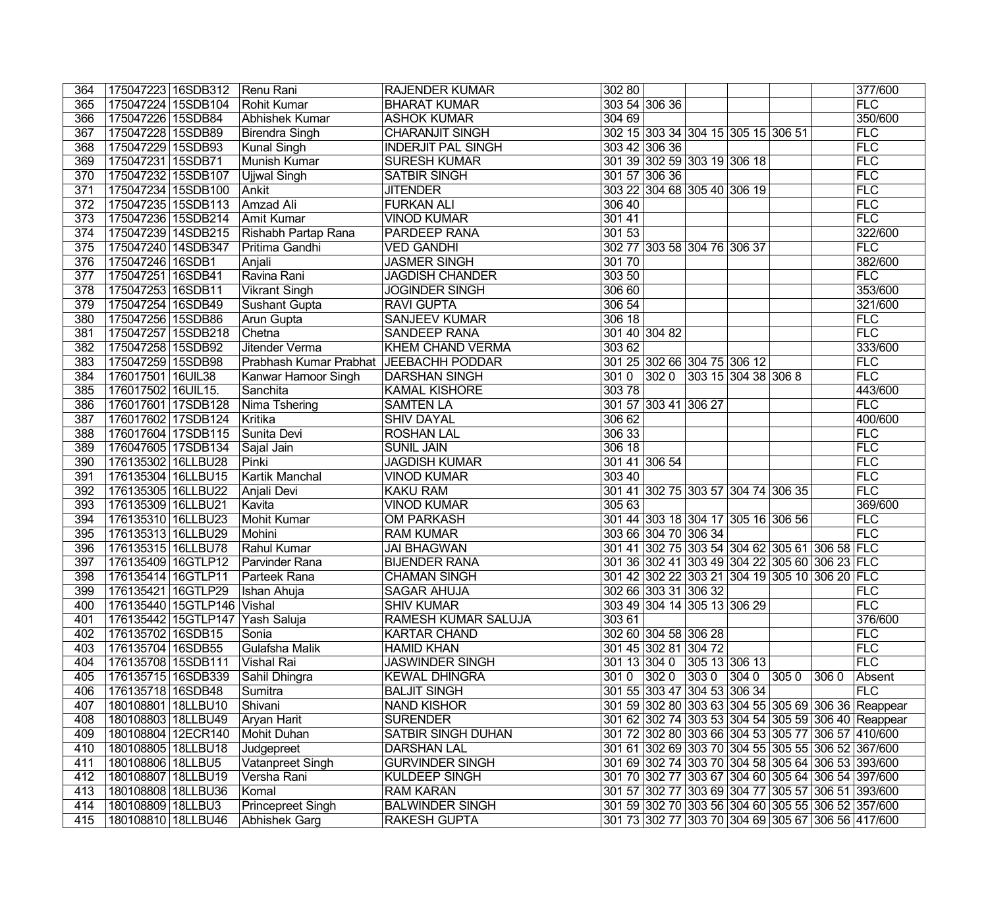| 364              |                      | 175047223   16SDB312           | Renu Rani                 | <b>RAJENDER KUMAR</b>      | 302 80                                             |                |                |      |      | 377/600    |
|------------------|----------------------|--------------------------------|---------------------------|----------------------------|----------------------------------------------------|----------------|----------------|------|------|------------|
| 365              | 175047224 15SDB104   |                                | Rohit Kumar               | <b>BHARAT KUMAR</b>        | 303 54 306 36                                      |                |                |      |      | FLC        |
| 366              | 175047226 15SDB84    |                                | Abhishek Kumar            | <b>ASHOK KUMAR</b>         | 304 69                                             |                |                |      |      | 350/600    |
| 367              | 175047228 15SDB89    |                                | Birendra Singh            | <b>CHARANJIT SINGH</b>     | 302 15 303 34 304 15 305 15 306 51                 |                |                |      |      | FLC        |
| 368              | 175047229 15SDB93    |                                | <b>Kunal Singh</b>        | <b>INDERJIT PAL SINGH</b>  | 303 42 306 36                                      |                |                |      |      | FLC        |
| 369              | 175047231 15SDB71    |                                | Munish Kumar              | <b>SURESH KUMAR</b>        | 301 39 302 59 303 19 306 18                        |                |                |      |      | FLC        |
| $\overline{370}$ | 175047232 15SDB107   |                                | <b>Ujjwal Singh</b>       | <b>SATBIR SINGH</b>        | 301 57 306 36                                      |                |                |      |      | FLC        |
| 371              | 175047234 15SDB100   |                                | Ankit                     | <b>JITENDER</b>            | 303 22 304 68 305 40 306 19                        |                |                |      |      | FLC        |
| $\overline{372}$ | 175047235 15SDB113   |                                | Amzad Ali                 | <b>FURKAN ALI</b>          | 306 40                                             |                |                |      |      | FLC        |
| $\overline{373}$ | 175047236   15SDB214 |                                | <b>Amit Kumar</b>         | <b>VINOD KUMAR</b>         | 30141                                              |                |                |      |      | FLC        |
| $\overline{374}$ | 175047239 14SDB215   |                                | Rishabh Partap Rana       | <b>PARDEEP RANA</b>        | 301 53                                             |                |                |      |      | 322/600    |
| 375              | 175047240 14SDB347   |                                | Pritima Gandhi            | <b>VED GANDHI</b>          | 302 77 303 58 304 76 306 37                        |                |                |      |      | FLC        |
| 376              | 175047246 16SDB1     |                                | Anjali                    | <b>JASMER SINGH</b>        | 30170                                              |                |                |      |      | 382/600    |
| $\overline{377}$ | 175047251 16SDB41    |                                | Ravina Rani               | <b>JAGDISH CHANDER</b>     | 303 50                                             |                |                |      |      | FLC        |
| 378              | 175047253 16SDB11    |                                | <b>Vikrant Singh</b>      | <b>JOGINDER SINGH</b>      | 306 60                                             |                |                |      |      | 353/600    |
| 379              | 175047254 16SDB49    |                                | <b>Sushant Gupta</b>      | <b>RAVI GUPTA</b>          | 306 54                                             |                |                |      |      | 321/600    |
| 380              | 175047256 15SDB86    |                                | Arun Gupta                | <b>SANJEEV KUMAR</b>       | 306 18                                             |                |                |      |      | FLC        |
| 381              | 175047257 15SDB218   |                                | Chetna                    | <b>SANDEEP RANA</b>        | 301 40 304 82                                      |                |                |      |      | FLC        |
| 382              | 175047258 15SDB92    |                                | Jitender Verma            | <b>KHEM CHAND VERMA</b>    | 303 62                                             |                |                |      |      | 333/600    |
| 383              | 175047259 15SDB98    |                                | Prabhash Kumar Prabhat    | <b>JEEBACHH PODDAR</b>     | 301 25 302 66 304 75 306 12                        |                |                |      |      | FLC        |
| 384              | 176017501 16UIL38    |                                | Kanwar Harnoor Singh      | <b>DARSHAN SINGH</b>       | 3010<br>$ 3020\rangle$                             |                | 30315304383068 |      |      | FLC        |
| 385              | 176017502 16UIL15.   |                                | Sanchita                  | <b>KAMAL KISHORE</b>       | 30378                                              |                |                |      |      | 443/600    |
| 386              | 176017601 17SDB128   |                                | Nima Tshering             | <b>SAMTEN LA</b>           | 301 57 303 41 306 27                               |                |                |      |      | FLC        |
| 387              | 176017602 17SDB124   |                                | Kritika                   | <b>SHIV DAYAL</b>          | 306 62                                             |                |                |      |      | 400/600    |
| 388              | 176017604 17SDB115   |                                | Sunita Devi               | <b>ROSHAN LAL</b>          | 306 33                                             |                |                |      |      | FLC        |
| 389              | 176047605 17SDB134   |                                | Sajal Jain                | <b>SUNIL JAIN</b>          | 306 18                                             |                |                |      |      | <b>FLC</b> |
| 390              | 176135302 16LLBU28   |                                | $\overline{\text{Pinki}}$ | <b>JAGDISH KUMAR</b>       | 301 41 306 54                                      |                |                |      |      | FLC        |
| 391              | 176135304 16LLBU15   |                                | Kartik Manchal            | <b>VINOD KUMAR</b>         | 303 40                                             |                |                |      |      | FLC        |
| 392              | 176135305 16LLBU22   |                                | Anjali Devi               | <b>KAKU RAM</b>            | 301 41 302 75 303 57 304 74 306 35                 |                |                |      |      | FLC        |
| 393              | 176135309 16LLBU21   |                                | Kavita                    | <b>VINOD KUMAR</b>         | 305 63                                             |                |                |      |      | 369/600    |
| 394              | 176135310 16LLBU23   |                                | Mohit Kumar               | <b>OM PARKASH</b>          | 301 44 303 18 304 17 305 16 306 56                 |                |                |      |      | FLC        |
| 395              | 176135313 16LLBU29   |                                | Mohini                    | <b>RAM KUMAR</b>           | 303 66 304 70 306 34                               |                |                |      |      | FLC        |
| 396              | 176135315 16LLBU78   |                                | Rahul Kumar               | <b>JAI BHAGWAN</b>         | 301 41 302 75 303 54 304 62 305 61 306 58 FLC      |                |                |      |      |            |
| 397              | 176135409 16GTLP12   |                                | Parvinder Rana            | <b>BIJENDER RANA</b>       | 301 36 302 41 303 49 304 22 305 60 306 23 FLC      |                |                |      |      |            |
| 398              | 176135414 16GTLP11   |                                | Parteek Rana              | <b>CHAMAN SINGH</b>        | 301 42 302 22 303 21 304 19 305 10 306 20 FLC      |                |                |      |      |            |
| 399              | 176135421 16GTLP29   |                                | Ishan Ahuja               | <b>SAGAR AHUJA</b>         | 302 66 303 31 306 32                               |                |                |      |      | <b>FLC</b> |
|                  |                      | 400 176135440 15GTLP146 Vishal |                           | <b>SHIV KUMAR</b>          | 303 49 304 14 305 13 306 29                        |                |                |      |      | FLC        |
| 401              |                      | 176135442 15GTLP147            | Yash Saluja               | <b>RAMESH KUMAR SALUJA</b> | 303 61                                             |                |                |      |      | 376/600    |
| 402              | 176135702 16SDB15    |                                | Sonia                     | <b>KARTAR CHAND</b>        | 302 60 304 58 306 28                               |                |                |      |      | <b>FLC</b> |
| 403              | 176135704 16SDB55    |                                | Gulafsha Malik            | <b>HAMID KHAN</b>          | 301 45 302 81 304 72                               |                |                |      |      | FLC        |
| 404              | 176135708 15SDB111   |                                | Vishal Rai                | <b>JASWINDER SINGH</b>     | 301 13 304 0 305 13 306 13                         |                |                |      |      | FLC        |
| 405              | 176135715 16SDB339   |                                | Sahil Dhingra             | <b>KEWAL DHINGRA</b>       | $ 3020\rangle$<br>3010                             | $ 3030\rangle$ | $ 3040\rangle$ | 3050 | 3060 | Absent     |
| 406              | 176135718 16SDB48    |                                | Sumitra                   | <b>BALJIT SINGH</b>        | 301 55 303 47 304 53 306 34                        |                |                |      |      | FLC        |
| 407              | 180108801   18LLBU10 |                                | Shivani                   | <b>NAND KISHOR</b>         | 301 59 302 80 303 63 304 55 305 69 306 36 Reappear |                |                |      |      |            |
| 408              | 180108803 18LLBU49   |                                | Aryan Harit               | <b>SURENDER</b>            | 301 62 302 74 303 53 304 54 305 59 306 40 Reappear |                |                |      |      |            |
| 409              | 180108804 12ECR140   |                                | Mohit Duhan               | SATBIR SINGH DUHAN         | 301 72 302 80 303 66 304 53 305 77 306 57 410/600  |                |                |      |      |            |
| 410              | 180108805 18LLBU18   |                                | Judgepreet                | <b>DARSHAN LAL</b>         | 301 61 302 69 303 70 304 55 305 55 306 52 367/600  |                |                |      |      |            |
| 411              | 180108806 18LLBU5    |                                | Vatanpreet Singh          | <b>GURVINDER SINGH</b>     | 301 69 302 74 303 70 304 58 305 64 306 53 393/600  |                |                |      |      |            |
| 412              | 180108807 18LLBU19   |                                | Versha Rani               | <b>KULDEEP SINGH</b>       | 301 70 302 77 303 67 304 60 305 64 306 54 397/600  |                |                |      |      |            |
| 413              | 180108808 18LLBU36   |                                | Komal                     | <b>RAM KARAN</b>           | 301 57 302 77 303 69 304 77 305 57 306 51 393/600  |                |                |      |      |            |
| 414              | 180108809 18LLBU3    |                                | <b>Princepreet Singh</b>  | <b>BALWINDER SINGH</b>     | 301 59 302 70 303 56 304 60 305 55 306 52 357/600  |                |                |      |      |            |
| 415              | 180108810 18LLBU46   |                                | Abhishek Garg             | <b>RAKESH GUPTA</b>        | 301 73 302 77 303 70 304 69 305 67 306 56 417/600  |                |                |      |      |            |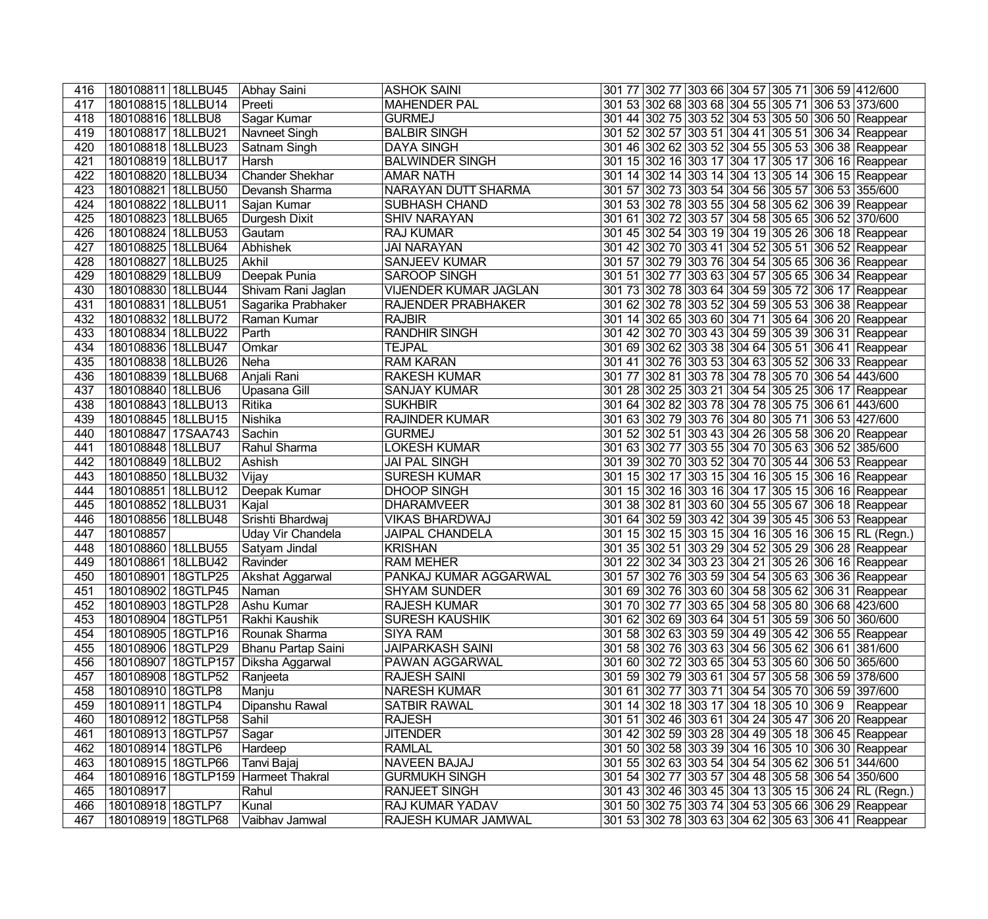| 416 | 180108811 18LLBU45   | Abhay Saini                             | <b>ASHOK SAINI</b>      |  | 301 77 302 77 303 66 304 57 305 71 306 59 412/600    |  |
|-----|----------------------|-----------------------------------------|-------------------------|--|------------------------------------------------------|--|
| 417 | 180108815 18LLBU14   | Preeti                                  | <b>MAHENDER PAL</b>     |  | 301 53 302 68 303 68 304 55 305 71 306 53 373/600    |  |
| 418 | 180108816 18LLBU8    | Sagar Kumar                             | <b>GURMEJ</b>           |  | 301 44 302 75 303 52 304 53 305 50 306 50 Reappear   |  |
| 419 | 180108817 18LLBU21   | Navneet Singh                           | <b>BALBIR SINGH</b>     |  | 301 52 302 57 303 51 304 41 305 51 306 34 Reappear   |  |
| 420 | 180108818 18LLBU23   | Satnam Singh                            | <b>DAYA SINGH</b>       |  | 301 46 302 62 303 52 304 55 305 53 306 38 Reappear   |  |
| 421 | 180108819 18LLBU17   | Harsh                                   | <b>BALWINDER SINGH</b>  |  | 301 15 302 16 303 17 304 17 305 17 306 16 Reappear   |  |
| 422 | 180108820 18LLBU34   | <b>Chander Shekhar</b>                  | <b>AMAR NATH</b>        |  | 301 14 302 14 303 14 304 13 305 14 306 15 Reappear   |  |
| 423 | 180108821 18LLBU50   | Devansh Sharma                          | NARAYAN DUTT SHARMA     |  | 301 57 302 73 303 54 304 56 305 57 306 53 355/600    |  |
| 424 | 180108822 18LLBU11   | Sajan Kumar                             | <b>SUBHASH CHAND</b>    |  | 301 53 302 78 303 55 304 58 305 62 306 39 Reappear   |  |
| 425 | 180108823   18LLBU65 | Durgesh Dixit                           | <b>SHIV NARAYAN</b>     |  | 301 61 302 72 303 57 304 58 305 65 306 52 370/600    |  |
| 426 | 180108824 18LLBU53   | Gautam                                  | <b>RAJ KUMAR</b>        |  | 301 45 302 54 303 19 304 19 305 26 306 18 Reappear   |  |
| 427 | 180108825 18LLBU64   | Abhishek                                | <b>JAI NARAYAN</b>      |  | 301 42 302 70 303 41 304 52 305 51 306 52 Reappear   |  |
| 428 | 180108827   18LLBU25 | Akhil                                   | <b>SANJEEV KUMAR</b>    |  | 301 57 302 79 303 76 304 54 305 65 306 36 Reappear   |  |
| 429 | 180108829 18LLBU9    | Deepak Punia                            | SAROOP SINGH            |  | 301 51 302 77 303 63 304 57 305 65 306 34 Reappear   |  |
| 430 | 180108830 18LLBU44   | Shivam Rani Jaglan                      | VIJENDER KUMAR JAGLAN   |  | 301 73 302 78 303 64 304 59 305 72 306 17 Reappear   |  |
| 431 | 180108831 18LLBU51   | Sagarika Prabhaker                      | RAJENDER PRABHAKER      |  | 301 62 302 78 303 52 304 59 305 53 306 38 Reappear   |  |
| 432 | 180108832 18LLBU72   | Raman Kumar                             | <b>RAJBIR</b>           |  | 301 14 302 65 303 60 304 71 305 64 306 20 Reappear   |  |
| 433 | 180108834 18LLBU22   | Parth                                   | <b>RANDHIR SINGH</b>    |  | 301 42 302 70 303 43 304 59 305 39 306 31 Reappear   |  |
| 434 | 180108836 18LLBU47   | Omkar                                   | <b>TEJPAL</b>           |  | 301 69 302 62 303 38 304 64 305 51 306 41 Reappear   |  |
| 435 | 180108838 18LLBU26   | Neha                                    | <b>RAM KARAN</b>        |  | 301 41 302 76 303 53 304 63 305 52 306 33 Reappear   |  |
| 436 | 180108839 18LLBU68   | Anjali Rani                             | <b>RAKESH KUMAR</b>     |  | 301 77 302 81 303 78 304 78 305 70 306 54 443/600    |  |
| 437 | 180108840 18LLBU6    | Upasana Gill                            | <b>SANJAY KUMAR</b>     |  | 301 28 302 25 303 21 304 54 305 25 306 17 Reappear   |  |
| 438 | 180108843 18LLBU13   | Ritika                                  | <b>SUKHBIR</b>          |  | 301 64 302 82 303 78 304 78 305 75 306 61 443/600    |  |
| 439 | 180108845 18LLBU15   | Nishika                                 | <b>RAJINDER KUMAR</b>   |  | 301 63 302 79 303 76 304 80 305 71 306 53 427/600    |  |
| 440 | 180108847 17SAA743   | Sachin                                  | <b>GURMEJ</b>           |  | 301 52 302 51 303 43 304 26 305 58 306 20 Reappear   |  |
| 441 | 180108848 18LLBU7    | Rahul Sharma                            | <b>LOKESH KUMAR</b>     |  | 301 63 302 77 303 55 304 70 305 63 306 52 385/600    |  |
| 442 | 180108849 18LLBU2    | Ashish                                  | <b>JAI PAL SINGH</b>    |  | 301 39 302 70 303 52 304 70 305 44 306 53 Reappear   |  |
| 443 | 180108850 18LLBU32   | Vijay                                   | <b>SURESH KUMAR</b>     |  | 301 15 302 17 303 15 304 16 305 15 306 16 Reappear   |  |
| 444 | 180108851 18LLBU12   | Deepak Kumar                            | <b>DHOOP SINGH</b>      |  | 301 15 302 16 303 16 304 17 305 15 306 16 Reappear   |  |
| 445 | 180108852 18LLBU31   | Kajal                                   | <b>DHARAMVEER</b>       |  | 301 38 302 81 303 60 304 55 305 67 306 18 Reappear   |  |
| 446 | 180108856 18LLBU48   | Srishti Bhardwaj                        | <b>VIKAS BHARDWAJ</b>   |  | 301 64 302 59 303 42 304 39 305 45 306 53 Reappear   |  |
| 447 | 180108857            | Uday Vir Chandela                       | <b>JAIPAL CHANDELA</b>  |  | 301 15 302 15 303 15 304 16 305 16 306 15 RL (Regn.) |  |
| 448 | 180108860 18LLBU55   | Satyam Jindal                           | <b>KRISHAN</b>          |  | 301 35 302 51 303 29 304 52 305 29 306 28 Reappear   |  |
| 449 | 180108861 18LLBU42   | Ravinder                                | <b>RAM MEHER</b>        |  | 301 22 302 34 303 23 304 21 305 26 306 16 Reappear   |  |
| 450 | 180108901 18GTLP25   | Akshat Aggarwal                         | PANKAJ KUMAR AGGARWAL   |  | 301 57 302 76 303 59 304 54 305 63 306 36 Reappear   |  |
| 451 | 180108902 18GTLP45   | Naman                                   | <b>SHYAM SUNDER</b>     |  | 301 69 302 76 303 60 304 58 305 62 306 31 Reappear   |  |
| 452 | 180108903 18GTLP28   | Ashu Kumar                              | <b>RAJESH KUMAR</b>     |  | 301 70 302 77 303 65 304 58 305 80 306 68 423/600    |  |
| 453 | 180108904 18GTLP51   | Rakhi Kaushik                           | <b>SURESH KAUSHIK</b>   |  | 301 62 302 69 303 64 304 51 305 59 306 50 360/600    |  |
| 454 | 180108905 18GTLP16   | Rounak Sharma                           | <b>SIYA RAM</b>         |  | 301 58 302 63 303 59 304 49 305 42 306 55 Reappear   |  |
| 455 | 180108906 18GTLP29   | Bhanu Partap Saini                      | <b>JAIPARKASH SAINI</b> |  | 301 58 302 76 303 63 304 56 305 62 306 61 381/600    |  |
| 456 | 180108907 18GTLP157  | Diksha Aggarwal                         | PAWAN AGGARWAL          |  | 301 60 302 72 303 65 304 53 305 60 306 50 365/600    |  |
| 457 | 180108908 18GTLP52   | Ranjeeta                                | <b>RAJESH SAINI</b>     |  | 301 59 302 79 303 61 304 57 305 58 306 59 378/600    |  |
| 458 | 180108910 18GTLP8    | Manju                                   | <b>NARESH KUMAR</b>     |  | 301 61 302 77 303 71 304 54 305 70 306 59 397/600    |  |
| 459 | 180108911 18GTLP4    | Dipanshu Rawal                          | <b>SATBIR RAWAL</b>     |  | 301 14 302 18 303 17 304 18 305 10 306 9 Reappear    |  |
| 460 | 180108912 18GTLP58   | Sahil                                   | <b>RAJESH</b>           |  | 301 51 302 46 303 61 304 24 305 47 306 20 Reappear   |  |
| 461 | 180108913 18GTLP57   | Sagar                                   | <b>JITENDER</b>         |  | 301 42 302 59 303 28 304 49 305 18 306 45 Reappear   |  |
| 462 | 180108914 18GTLP6    | Hardeep                                 | <b>RAMLAL</b>           |  | 301 50 302 58 303 39 304 16 305 10 306 30 Reappear   |  |
| 463 | 180108915 18GTLP66   | Tanvi Bajaj                             | NAVEEN BAJAJ            |  | 301 55 302 63 303 54 304 54 305 62 306 51 344/600    |  |
| 464 |                      | 180108916   18GTLP159   Harmeet Thakral | <b>GURMUKH SINGH</b>    |  | 301 54 302 77 303 57 304 48 305 58 306 54 350/600    |  |
| 465 | 180108917            | Rahul                                   | <b>RANJEET SINGH</b>    |  | 301 43 302 46 303 45 304 13 305 15 306 24 RL (Regn.) |  |
| 466 | 180108918 18GTLP7    | Kunal                                   | RAJ KUMAR YADAV         |  | 301 50 302 75 303 74 304 53 305 66 306 29 Reappear   |  |
| 467 | 180108919 18GTLP68   | Vaibhav Jamwal                          | RAJESH KUMAR JAMWAL     |  | 301 53 302 78 303 63 304 62 305 63 306 41 Reappear   |  |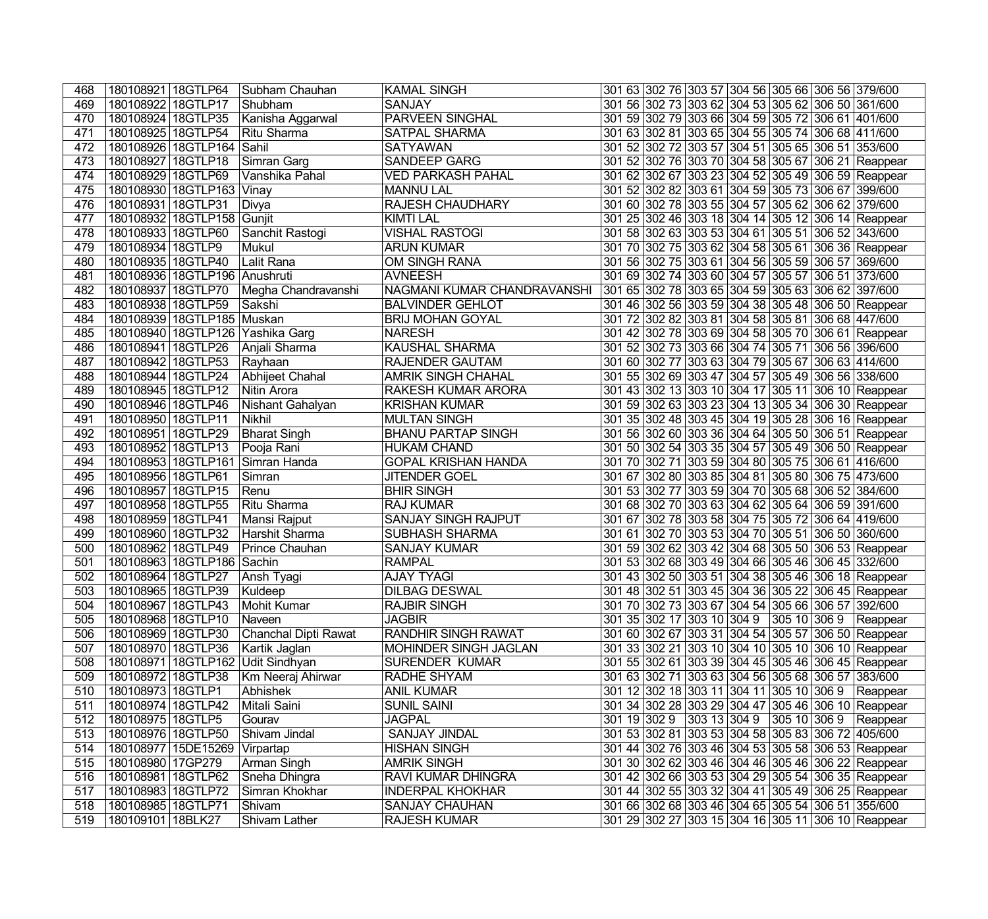| 468 | 180108921 18GTLP64 |                               | Subham Chauhan       | <b>KAMAL SINGH</b>           | 301 63 302 76 303 57 304 56 305 66 306 56 379/600  |  |          |
|-----|--------------------|-------------------------------|----------------------|------------------------------|----------------------------------------------------|--|----------|
| 469 | 180108922 18GTLP17 |                               | Shubham              | <b>SANJAY</b>                | 301 56 302 73 303 62 304 53 305 62 306 50 361/600  |  |          |
| 470 | 180108924 18GTLP35 |                               | Kanisha Aggarwal     | <b>PARVEEN SINGHAL</b>       | 301 59 302 79 303 66 304 59 305 72 306 61 401/600  |  |          |
| 471 | 180108925 18GTLP54 |                               | Ritu Sharma          | SATPAL SHARMA                | 301 63 302 81 303 65 304 55 305 74 306 68 411/600  |  |          |
| 472 |                    | 180108926 18GTLP164 Sahil     |                      | <b>SATYAWAN</b>              | 301 52 302 72 303 57 304 51 305 65 306 51 353/600  |  |          |
| 473 | 180108927 18GTLP18 |                               | Simran Garg          | <b>SANDEEP GARG</b>          | 301 52 302 76 303 70 304 58 305 67 306 21 Reappear |  |          |
| 474 | 180108929 18GTLP69 |                               | Vanshika Pahal       | <b>VED PARKASH PAHAL</b>     | 301 62 302 67 303 23 304 52 305 49 306 59 Reappear |  |          |
| 475 |                    | 180108930 18GTLP163           | Vinay                | <b>MANNU LAL</b>             | 301 52 302 82 303 61 304 59 305 73 306 67 399/600  |  |          |
| 476 | 180108931 18GTLP31 |                               | Divya                | RAJESH CHAUDHARY             | 301 60 302 78 303 55 304 57 305 62 306 62 379/600  |  |          |
| 477 |                    | 180108932 18GTLP158 Gunjit    |                      | <b>KIMTI LAL</b>             | 301 25 302 46 303 18 304 14 305 12 306 14 Reappear |  |          |
| 478 | 180108933 18GTLP60 |                               | Sanchit Rastogi      | <b>VISHAL RASTOGI</b>        | 301 58 302 63 303 53 304 61 305 51 306 52 343/600  |  |          |
| 479 | 180108934 18GTLP9  |                               | Mukul                | <b>ARUN KUMAR</b>            | 301 70 302 75 303 62 304 58 305 61 306 36 Reappear |  |          |
| 480 | 180108935 18GTLP40 |                               | Lalit Rana           | OM SINGH RANA                | 301 56 302 75 303 61 304 56 305 59 306 57 369/600  |  |          |
| 481 |                    | 180108936 18GTLP196 Anushruti |                      | <b>AVNEESH</b>               | 301 69 302 74 303 60 304 57 305 57 306 51 373/600  |  |          |
| 482 | 180108937 18GTLP70 |                               | Megha Chandravanshi  | NAGMANI KUMAR CHANDRAVANSHI  | 301 65 302 78 303 65 304 59 305 63 306 62 397/600  |  |          |
| 483 | 180108938 18GTLP59 |                               | Sakshi               | <b>BALVINDER GEHLOT</b>      | 301 46 302 56 303 59 304 38 305 48 306 50 Reappear |  |          |
| 484 |                    | 180108939 18GTLP185 Muskan    |                      | <b>BRIJ MOHAN GOYAL</b>      | 301 72 302 82 303 81 304 58 305 81 306 68 447/600  |  |          |
| 485 |                    | 180108940 18GTLP126           | Yashika Garg         | <b>NARESH</b>                | 301 42 302 78 303 69 304 58 305 70 306 61 Reappear |  |          |
| 486 | 180108941 18GTLP26 |                               | Anjali Sharma        | <b>KAUSHAL SHARMA</b>        | 301 52 302 73 303 66 304 74 305 71 306 56 396/600  |  |          |
| 487 | 180108942 18GTLP53 |                               | Rayhaan              | <b>RAJENDER GAUTAM</b>       | 301 60 302 77 303 63 304 79 305 67 306 63 414/600  |  |          |
| 488 | 180108944 18GTLP24 |                               | Abhijeet Chahal      | AMRIK SINGH CHAHAL           | 301 55 302 69 303 47 304 57 305 49 306 56 338/600  |  |          |
| 489 | 180108945 18GTLP12 |                               | Nitin Arora          | <b>RAKESH KUMAR ARORA</b>    | 301 43 302 13 303 10 304 17 305 11 306 10 Reappear |  |          |
| 490 | 180108946 18GTLP46 |                               | Nishant Gahalyan     | <b>KRISHAN KUMAR</b>         | 301 59 302 63 303 23 304 13 305 34 306 30 Reappear |  |          |
| 491 | 180108950 18GTLP11 |                               | Nikhil               | <b>MULTAN SINGH</b>          | 301 35 302 48 303 45 304 19 305 28 306 16 Reappear |  |          |
| 492 | 180108951 18GTLP29 |                               | <b>Bharat Singh</b>  | <b>BHANU PARTAP SINGH</b>    | 301 56 302 60 303 36 304 64 305 50 306 51 Reappear |  |          |
| 493 | 180108952 18GTLP13 |                               | Pooja Rani           | <b>HUKAM CHAND</b>           | 301 50 302 54 303 35 304 57 305 49 306 50 Reappear |  |          |
| 494 |                    | 180108953   18GTLP161         | Simran Handa         | <b>GOPAL KRISHAN HANDA</b>   | 301 70 302 71 303 59 304 80 305 75 306 61 416/600  |  |          |
| 495 | 180108956 18GTLP61 |                               | Simran               | <b>JITENDER GOEL</b>         | 301 67 302 80 303 85 304 81 305 80 306 75 473/600  |  |          |
| 496 | 180108957 18GTLP15 |                               | Renu                 | <b>BHIR SINGH</b>            | 301 53 302 77 303 59 304 70 305 68 306 52 384/600  |  |          |
| 497 | 180108958 18GTLP55 |                               | Ritu Sharma          | <b>RAJ KUMAR</b>             | 301 68 302 70 303 63 304 62 305 64 306 59 391/600  |  |          |
| 498 | 180108959 18GTLP41 |                               | Mansi Rajput         | <b>SANJAY SINGH RAJPUT</b>   | 301 67 302 78 303 58 304 75 305 72 306 64 419/600  |  |          |
| 499 | 180108960 18GTLP32 |                               | Harshit Sharma       | SUBHASH SHARMA               | 301 61 302 70 303 53 304 70 305 51 306 50 360/600  |  |          |
| 500 | 180108962 18GTLP49 |                               | Prince Chauhan       | <b>SANJAY KUMAR</b>          | 301 59 302 62 303 42 304 68 305 50 306 53 Reappear |  |          |
| 501 |                    | 180108963 18GTLP186           | Sachin               | <b>RAMPAL</b>                | 301 53 302 68 303 49 304 66 305 46 306 45 332/600  |  |          |
| 502 | 180108964 18GTLP27 |                               | Ansh Tyagi           | <b>AJAY TYAGI</b>            | 301 43 302 50 303 51 304 38 305 46 306 18 Reappear |  |          |
| 503 | 180108965 18GTLP39 |                               | Kuldeep              | <b>DILBAG DESWAL</b>         | 301 48 302 51 303 45 304 36 305 22 306 45 Reappear |  |          |
| 504 |                    | 180108967 18GTLP43            | Mohit Kumar          | <b>RAJBIR SINGH</b>          | 301 70 302 73 303 67 304 54 305 66 306 57 392/600  |  |          |
| 505 | 180108968 18GTLP10 |                               | Naveen               | <b>JAGBIR</b>                | 301 35 302 17 303 10 304 9 305 10 306 9 Reappear   |  |          |
| 506 | 180108969 18GTLP30 |                               | Chanchal Dipti Rawat | <b>RANDHIR SINGH RAWAT</b>   | 301 60 302 67 303 31 304 54 305 57 306 50 Reappear |  |          |
| 507 | 180108970 18GTLP36 |                               | Kartik Jaglan        | <b>MOHINDER SINGH JAGLAN</b> | 301 33 302 21 303 10 304 10 305 10 306 10 Reappear |  |          |
| 508 |                    | 180108971 18GTLP162           | <b>Udit Sindhyan</b> | SURENDER KUMAR               | 301 55 302 61 303 39 304 45 305 46 306 45 Reappear |  |          |
| 509 | 180108972 18GTLP38 |                               | Km Neeraj Ahirwar    | RADHE SHYAM                  | 301 63 302 71 303 63 304 56 305 68 306 57 383/600  |  |          |
| 510 | 180108973 18GTLP1  |                               | Abhishek             | <b>ANIL KUMAR</b>            | 301 12 302 18 303 11 304 11 305 10 306 9           |  | Reappear |
| 511 | 180108974 18GTLP42 |                               | Mitali Saini         | <b>SUNIL SAINI</b>           | 301 34 302 28 303 29 304 47 305 46 306 10 Reappear |  |          |
| 512 | 180108975 18GTLP5  |                               | Gourav               | <b>JAGPAL</b>                | 301 19 302 9 303 13 304 9 305 10 306 9 Reappear    |  |          |
| 513 | 180108976 18GTLP50 |                               | Shivam Jindal        | <b>SANJAY JINDAL</b>         | 301 53 302 81 303 53 304 58 305 83 306 72 405/600  |  |          |
| 514 |                    | 180108977 15DE15269           | Virpartap            | <b>HISHAN SINGH</b>          | 301 44 302 76 303 46 304 53 305 58 306 53 Reappear |  |          |
| 515 | 180108980 17GP279  |                               | Arman Singh          | <b>AMRIK SINGH</b>           | 301 30 302 62 303 46 304 46 305 46 306 22 Reappear |  |          |
| 516 | 180108981 18GTLP62 |                               | Sneha Dhingra        | RAVI KUMAR DHINGRA           | 301 42 302 66 303 53 304 29 305 54 306 35 Reappear |  |          |
| 517 | 180108983 18GTLP72 |                               | Simran Khokhar       | <b>INDERPAL KHOKHAR</b>      | 301 44 302 55 303 32 304 41 305 49 306 25 Reappear |  |          |
| 518 | 180108985 18GTLP71 |                               | Shivam               | <b>SANJAY CHAUHAN</b>        | 301 66 302 68 303 46 304 65 305 54 306 51 355/600  |  |          |
| 519 | 180109101 18BLK27  |                               | Shivam Lather        | <b>RAJESH KUMAR</b>          | 301 29 302 27 303 15 304 16 305 11 306 10 Reappear |  |          |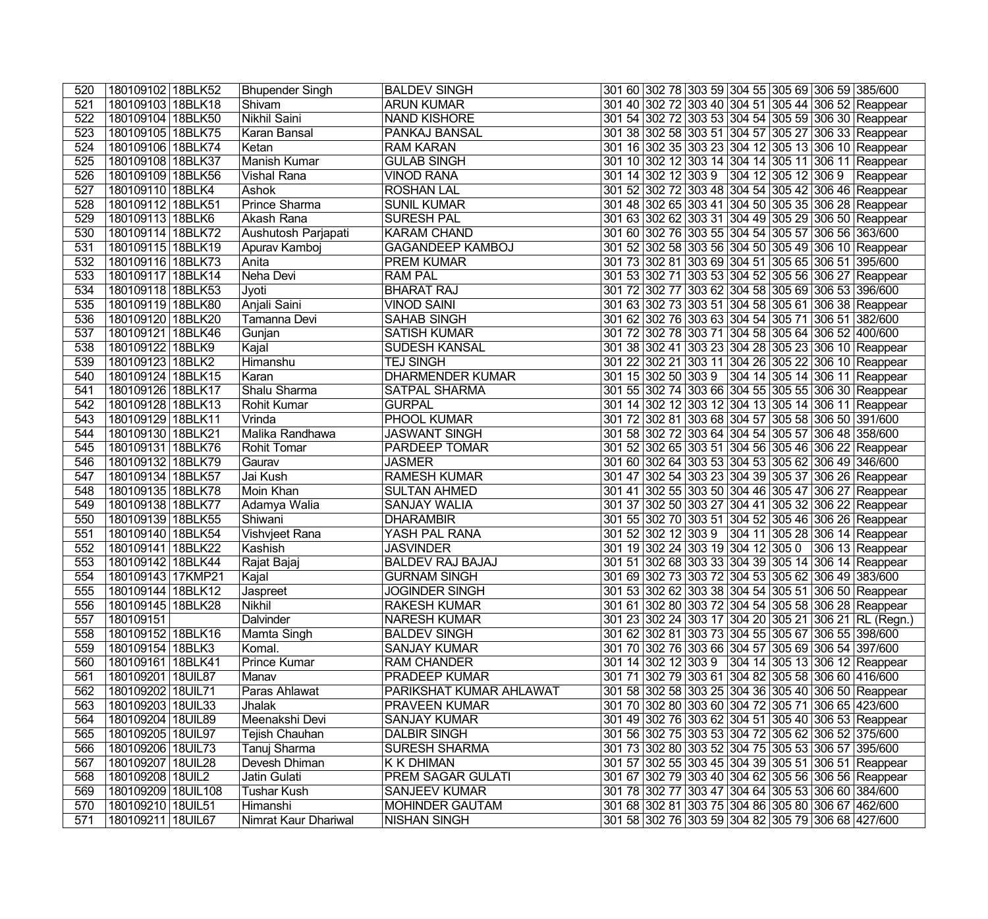| 520              | 180109102 18BLK52   | <b>Bhupender Singh</b> | <b>BALDEV SINGH</b>      | 301 60 302 78 303 59 304 55 305 69 306 59 385/600    |  |  |  |
|------------------|---------------------|------------------------|--------------------------|------------------------------------------------------|--|--|--|
| 521              | 180109103 18BLK18   | Shivam                 | <b>ARUN KUMAR</b>        | 301 40 302 72 303 40 304 51 305 44 306 52 Reappear   |  |  |  |
| 522              | 180109104 18BLK50   | Nikhil Saini           | <b>NAND KISHORE</b>      | 301 54 302 72 303 53 304 54 305 59 306 30 Reappear   |  |  |  |
| 523              | 180109105 18BLK75   | Karan Bansal           | PANKAJ BANSAL            | 301 38 302 58 303 51 304 57 305 27 306 33 Reappear   |  |  |  |
| 524              | 180109106 18BLK74   | Ketan                  | <b>RAM KARAN</b>         | 301 16 302 35 303 23 304 12 305 13 306 10 Reappear   |  |  |  |
| 525              | 180109108 18BLK37   | Manish Kumar           | <b>GULAB SINGH</b>       | 301 10 302 12 303 14 304 14 305 11 306 11 Reappear   |  |  |  |
| 526              | 180109109 18BLK56   | <b>Vishal Rana</b>     | <b>VINOD RANA</b>        | 301 14 302 12 303 9 304 12 305 12 306 9 Reappear     |  |  |  |
| $\overline{527}$ | 180109110 18BLK4    | Ashok                  | <b>ROSHAN LAL</b>        | 301 52 302 72 303 48 304 54 305 42 306 46 Reappear   |  |  |  |
| 528              | 180109112 18BLK51   | Prince Sharma          | <b>SUNIL KUMAR</b>       | 301 48 302 65 303 41 304 50 305 35 306 28 Reappear   |  |  |  |
| 529              | 180109113 18BLK6    | Akash Rana             | <b>SURESH PAL</b>        | 301 63 302 62 303 31 304 49 305 29 306 50 Reappear   |  |  |  |
| 530              | 180109114 18BLK72   | Aushutosh Parjapati    | <b>KARAM CHAND</b>       | 301 60 302 76 303 55 304 54 305 57 306 56 363/600    |  |  |  |
| 531              | 180109115 18BLK19   | Apurav Kamboj          | <b>GAGANDEEP KAMBOJ</b>  | 301 52 302 58 303 56 304 50 305 49 306 10 Reappear   |  |  |  |
| 532              | 180109116 18BLK73   | Anita                  | <b>PREM KUMAR</b>        | 301 73 302 81 303 69 304 51 305 65 306 51 395/600    |  |  |  |
| 533              | 180109117 18BLK14   | Neha Devi              | <b>RAM PAL</b>           | 301 53 302 71 303 53 304 52 305 56 306 27 Reappear   |  |  |  |
| 534              | 180109118 18BLK53   | $J$ yoti               | <b>BHARAT RAJ</b>        | 301 72 302 77 303 62 304 58 305 69 306 53 396/600    |  |  |  |
| 535              | 180109119 18BLK80   | Anjali Saini           | <b>VINOD SAINI</b>       | 301 63 302 73 303 51 304 58 305 61 306 38 Reappear   |  |  |  |
| 536              | 180109120 18BLK20   | Tamanna Devi           | <b>SAHAB SINGH</b>       | 301 62 302 76 303 63 304 54 305 71 306 51 382/600    |  |  |  |
| 537              | 180109121 18BLK46   | Gunjan                 | <b>SATISH KUMAR</b>      | 301 72 302 78 303 71 304 58 305 64 306 52 400/600    |  |  |  |
| 538              | 180109122 18BLK9    | Kajal                  | <b>SUDESH KANSAL</b>     | 301 38 302 41 303 23 304 28 305 23 306 10 Reappear   |  |  |  |
| 539              | 180109123 18BLK2    | Himanshu               | <b>TEJ SINGH</b>         | 301 22 302 21 303 11 304 26 305 22 306 10 Reappear   |  |  |  |
| 540              | 180109124 18BLK15   | Karan                  | <b>DHARMENDER KUMAR</b>  | 301 15 302 50 303 9 304 14 305 14 306 11 Reappear    |  |  |  |
| 541              | 180109126 18BLK17   | Shalu Sharma           | <b>SATPAL SHARMA</b>     | 301 55 302 74 303 66 304 55 305 55 306 30 Reappear   |  |  |  |
| 542              | 180109128 18BLK13   | <b>Rohit Kumar</b>     | <b>GURPAL</b>            | 301 14 302 12 303 12 304 13 305 14 306 11 Reappear   |  |  |  |
| 543              | 180109129 18BLK11   | Vrinda                 | <b>PHOOL KUMAR</b>       | 301 72 302 81 303 68 304 57 305 58 306 50 391/600    |  |  |  |
| 544              | 180109130 18BLK21   | Malika Randhawa        | <b>JASWANT SINGH</b>     | 301 58 302 72 303 64 304 54 305 57 306 48 358/600    |  |  |  |
| 545              | 180109131 18BLK76   | Rohit Tomar            | PARDEEP TOMAR            | 301 52 302 65 303 51 304 56 305 46 306 22 Reappear   |  |  |  |
| 546              | 180109132 18BLK79   | Gaurav                 | <b>JASMER</b>            | 301 60 302 64 303 53 304 53 305 62 306 49 346/600    |  |  |  |
| 547              | 180109134 18BLK57   | Jai Kush               | <b>RAMESH KUMAR</b>      | 301 47 302 54 303 23 304 39 305 37 306 26 Reappear   |  |  |  |
| 548              | 180109135 18BLK78   | Moin Khan              | <b>SULTAN AHMED</b>      | 301 41 302 55 303 50 304 46 305 47 306 27 Reappear   |  |  |  |
| 549              | 180109138 18BLK77   | Adamya Walia           | <b>SANJAY WALIA</b>      | 301 37 302 50 303 27 304 41 305 32 306 22 Reappear   |  |  |  |
| 550              | 180109139 18BLK55   | Shiwani                | <b>DHARAMBIR</b>         | 301 55 302 70 303 51 304 52 305 46 306 26 Reappear   |  |  |  |
| 551              | 180109140 18BLK54   | Vishvjeet Rana         | YASH PAL RANA            | 301 52 302 12 303 9 304 11 305 28 306 14 Reappear    |  |  |  |
| 552              | 180109141 18BLK22   | Kashish                | <b>JASVINDER</b>         | 301 19 302 24 303 19 304 12 305 0 306 13 Reappear    |  |  |  |
| 553              | 180109142 18BLK44   | Rajat Bajaj            | <b>BALDEV RAJ BAJAJ</b>  | 301 51 302 68 303 33 304 39 305 14 306 14 Reappear   |  |  |  |
| 554              | 180109143 17KMP21   | Kajal                  | <b>GURNAM SINGH</b>      | 301 69 302 73 303 72 304 53 305 62 306 49 383/600    |  |  |  |
| 555              | 180109144 18BLK12   | Jaspreet               | <b>JOGINDER SINGH</b>    | 301 53 302 62 303 38 304 54 305 51 306 50 Reappear   |  |  |  |
| 556              | 180109145 18BLK28   | Nikhil                 | <b>RAKESH KUMAR</b>      | 301 61 302 80 303 72 304 54 305 58 306 28 Reappear   |  |  |  |
| 557              | 180109151           | Dalvinder              | <b>NARESH KUMAR</b>      | 301 23 302 24 303 17 304 20 305 21 306 21 RL (Regn.) |  |  |  |
| 558              | 180109152 18BLK16   | Mamta Singh            | <b>BALDEV SINGH</b>      | 301 62 302 81 303 73 304 55 305 67 306 55 398/600    |  |  |  |
| 559              | 180109154 18BLK3    | Komal.                 | <b>SANJAY KUMAR</b>      | 301 70 302 76 303 66 304 57 305 69 306 54 397/600    |  |  |  |
| 560              | 180109161 18BLK41   | <b>Prince Kumar</b>    | <b>RAM CHANDER</b>       | 301 14 302 12 303 9 304 14 305 13 306 12 Reappear    |  |  |  |
| 561              | 180109201 18UIL87   | Manav                  | PRADEEP KUMAR            | 301 71 302 79 303 61 304 82 305 58 306 60 416/600    |  |  |  |
| 562              | 180109202 18UIL71   | Paras Ahlawat          | PARIKSHAT KUMAR AHLAWAT  | 301 58 302 58 303 25 304 36 305 40 306 50 Reappear   |  |  |  |
| 563              | 180109203   18UIL33 | Jhalak                 | <b>PRAVEEN KUMAR</b>     | 301 70 302 80 303 60 304 72 305 71 306 65 423/600    |  |  |  |
| 564              | 180109204   18UIL89 | Meenakshi Devi         | <b>SANJAY KUMAR</b>      | 301 49 302 76 303 62 304 51 305 40 306 53 Reappear   |  |  |  |
| 565              | 180109205 18UIL97   | Tejish Chauhan         | <b>DALBIR SINGH</b>      | 301 56 302 75 303 53 304 72 305 62 306 52 375/600    |  |  |  |
| 566              | 180109206 18UIL73   | Tanuj Sharma           | <b>SURESH SHARMA</b>     | 301 73 302 80 303 52 304 75 305 53 306 57 395/600    |  |  |  |
| 567              | 180109207   18UIL28 | Devesh Dhiman          | K K DHIMAN               | 301 57 302 55 303 45 304 39 305 51 306 51 Reappear   |  |  |  |
| 568              | 180109208 18UIL2    | Jatin Gulati           | <b>PREM SAGAR GULATI</b> | 301 67 302 79 303 40 304 62 305 56 306 56 Reappear   |  |  |  |
| 569              | 180109209 18UIL108  | <b>Tushar Kush</b>     | <b>SANJEEV KUMAR</b>     | 301 78 302 77 303 47 304 64 305 53 306 60 384/600    |  |  |  |
| 570              | 180109210 18UIL51   | Himanshi               | <b>MOHINDER GAUTAM</b>   | 301 68 302 81 303 75 304 86 305 80 306 67 462/600    |  |  |  |
| 571              | 180109211 18UIL67   | Nimrat Kaur Dhariwal   | <b>NISHAN SINGH</b>      | 301 58 302 76 303 59 304 82 305 79 306 68 427/600    |  |  |  |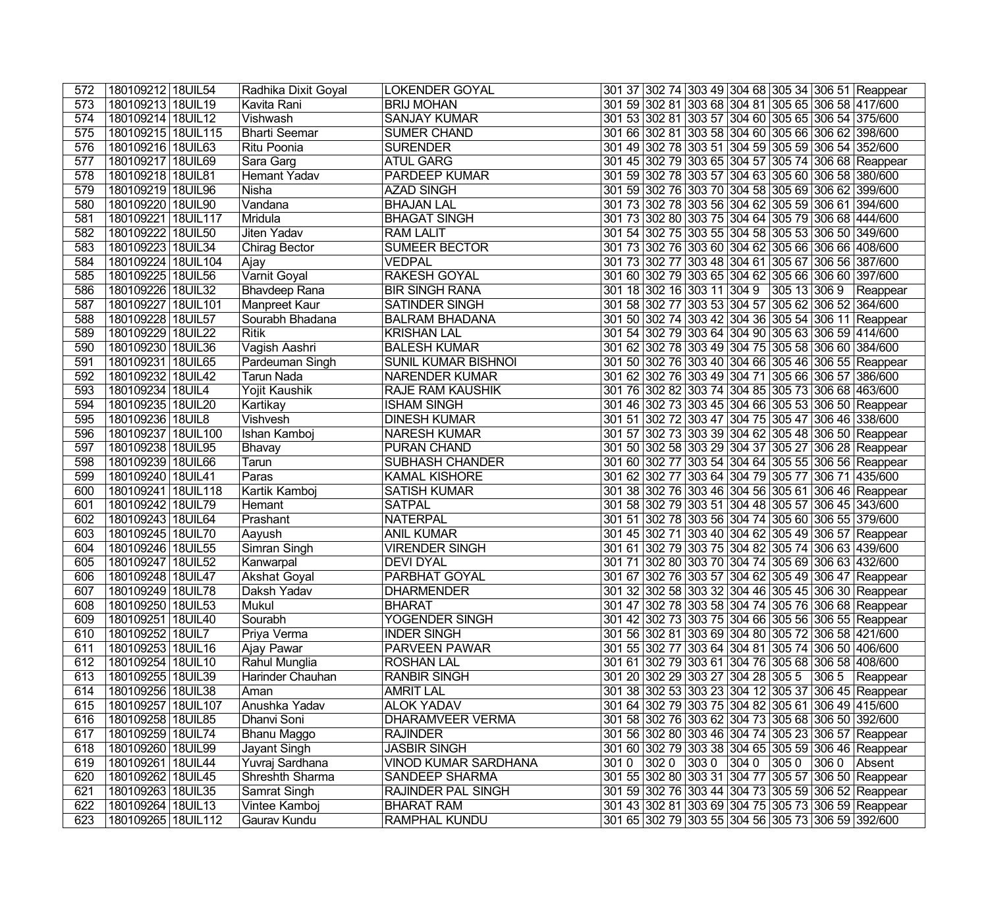| 572 | 180109212 18UIL54    | Radhika Dixit Goyal  | <b>LOKENDER GOYAL</b>       |      |  |  | 301 37 302 74 303 49 304 68 305 34 306 51 Reappear  |
|-----|----------------------|----------------------|-----------------------------|------|--|--|-----------------------------------------------------|
| 573 | 180109213   18UIL19  | Kavita Rani          | <b>BRIJ MOHAN</b>           |      |  |  | 301 59 302 81 303 68 304 81 305 65 306 58 417/600   |
| 574 | 180109214 18UIL12    | Vishwash             | <b>SANJAY KUMAR</b>         |      |  |  | 301 53 302 81 303 57 304 60 305 65 306 54 375/600   |
| 575 | 180109215 18UIL115   | Bharti Seemar        | <b>SUMER CHAND</b>          |      |  |  | 301 66 302 81 303 58 304 60 305 66 306 62 398/600   |
| 576 | 180109216 18UIL63    | Ritu Poonia          | <b>SURENDER</b>             |      |  |  | 301 49 302 78 303 51 304 59 305 59 306 54 352/600   |
| 577 | 180109217 18UIL69    | Sara Garg            | <b>ATUL GARG</b>            |      |  |  | 301 45 302 79 303 65 304 57 305 74 306 68 Reappear  |
| 578 | 180109218 18UIL81    | Hemant Yadav         | <b>PARDEEP KUMAR</b>        |      |  |  | 301 59 302 78 303 57 304 63 305 60 306 58 380/600   |
| 579 | 180109219 18UIL96    | Nisha                | <b>AZAD SINGH</b>           |      |  |  | 301 59 302 76 303 70 304 58 305 69 306 62 399/600   |
| 580 | 180109220 18UIL90    | Vandana              | <b>BHAJAN LAL</b>           |      |  |  | 301 73 302 78 303 56 304 62 305 59 306 61 394/600   |
| 581 | 180109221 18UIL117   | Mridula              | <b>BHAGAT SINGH</b>         |      |  |  | 301 73 302 80 303 75 304 64 305 79 306 68 444/600   |
| 582 | 180109222 18UIL50    | Jiten Yadav          | <b>RAM LALIT</b>            |      |  |  | 301 54 302 75 303 55 304 58 305 53 306 50 349/600   |
| 583 | 180109223 18UIL34    | <b>Chirag Bector</b> | <b>SUMEER BECTOR</b>        |      |  |  | 301 73 302 76 303 60 304 62 305 66 306 66 408/600   |
| 584 | 180109224 18UIL104   | Ajay                 | <b>VEDPAL</b>               |      |  |  | 301 73 302 77 303 48 304 61 305 67 306 56 387/600   |
| 585 | 180109225   18UIL56  | Varnit Goyal         | <b>RAKESH GOYAL</b>         |      |  |  | 301 60 302 79 303 65 304 62 305 66 306 60 397/600   |
| 586 | 180109226 18UIL32    | Bhavdeep Rana        | <b>BIR SINGH RANA</b>       |      |  |  | 301 18 302 16 303 11 304 9 305 13 306 9 Reappear    |
| 587 | 180109227 18UIL101   | Manpreet Kaur        | <b>SATINDER SINGH</b>       |      |  |  | 301 58 302 77 303 53 304 57 305 62 306 52 364/600   |
| 588 | 180109228 18UIL57    | Sourabh Bhadana      | <b>BALRAM BHADANA</b>       |      |  |  | 301 50 302 74 303 42 304 36 305 54 306 11 Reappear  |
| 589 | 180109229 18UIL22    | Ritik                | <b>KRISHAN LAL</b>          |      |  |  | 301 54 302 79 303 64 304 90 305 63 306 59 414/600   |
| 590 | 180109230 18UIL36    | Vagish Aashri        | <b>BALESH KUMAR</b>         |      |  |  | 301 62 302 78 303 49 304 75 305 58 306 60 384/600   |
| 591 | 180109231 18UIL65    | Pardeuman Singh      | SUNIL KUMAR BISHNOI         |      |  |  | 301 50 302 76 303 40 304 66 305 46 306 55 Reappear  |
| 592 | 180109232 18UIL42    | <b>Tarun Nada</b>    | <b>NARENDER KUMAR</b>       |      |  |  | 301 62 302 76 303 49 304 71 305 66 306 57 386/600   |
| 593 | 180109234 18UIL4     | Yojit Kaushik        | <b>RAJE RAM KAUSHIK</b>     |      |  |  | 301 76 302 82 303 74 304 85 305 73 306 68 463/600   |
| 594 | 180109235 18UIL20    | Kartikay             | <b>ISHAM SINGH</b>          |      |  |  | 301 46 302 73 303 45 304 66 305 53 306 50 Reappear  |
| 595 | 180109236 18UIL8     | Vishvesh             | <b>DINESH KUMAR</b>         |      |  |  | 301 51 302 72 303 47 304 75 305 47 306 46 338/600   |
| 596 | 180109237   18UIL100 | Ishan Kamboj         | <b>NARESH KUMAR</b>         |      |  |  | 301 57 302 73 303 39 304 62 305 48 306 50 Reappear  |
| 597 | 180109238 18UIL95    | Bhavay               | PURAN CHAND                 |      |  |  | 301 50 302 58 303 29 304 37 305 27 306 28 Reappear  |
| 598 | 180109239 18UIL66    | Tarun                | <b>SUBHASH CHANDER</b>      |      |  |  | 301 60 302 77 303 54 304 64 305 55 306 56 Reappear  |
| 599 | 180109240 18UIL41    | Paras                | <b>KAMAL KISHORE</b>        |      |  |  | 301 62 302 77 303 64 304 79 305 77 306 71 435/600   |
| 600 | 180109241 18UIL118   | Kartik Kamboj        | <b>SATISH KUMAR</b>         |      |  |  | 301 38 302 76 303 46 304 56 305 61 306 46 Reappear  |
| 601 | 180109242 18UIL79    | Hemant               | <b>SATPAL</b>               |      |  |  | 301 58 302 79 303 51 304 48 305 57 306 45 343/600   |
| 602 | 180109243   18UIL64  | Prashant             | <b>NATERPAL</b>             |      |  |  | 301 51 302 78 303 56 304 74 305 60 306 55 379/600   |
| 603 | 180109245   18UIL70  | Aayush               | <b>ANIL KUMAR</b>           |      |  |  | 301 45 302 71 303 40 304 62 305 49 306 57 Reappear  |
| 604 | 180109246 18UIL55    | Simran Singh         | <b>VIRENDER SINGH</b>       |      |  |  | 301 61 302 79 303 75 304 82 305 74 306 63 439/600   |
| 605 | 180109247 18UIL52    | Kanwarpal            | <b>DEVI DYAL</b>            |      |  |  | 301 71 302 80 303 70 304 74 305 69 306 63 432/600   |
| 606 | 180109248 18UIL47    | Akshat Goyal         | PARBHAT GOYAL               |      |  |  | 301 67 302 76 303 57 304 62 305 49 306 47 Reappear  |
| 607 | 180109249 18UIL78    | Daksh Yadav          | <b>DHARMENDER</b>           |      |  |  | 301 32 302 58 303 32 304 46 305 45 306 30 Reappear  |
| 608 | 180109250 18UIL53    | Mukul                | <b>BHARAT</b>               |      |  |  | 301 47 302 78 303 58 304 74 305 76 306 68 Reappear  |
| 609 | 180109251   18UIL40  | Sourabh              | YOGENDER SINGH              |      |  |  | 301 42 302 73 303 75 304 66 305 56 306 55 Reappear  |
| 610 | 180109252 18UIL7     | Priya Verma          | <b>INDER SINGH</b>          |      |  |  | 301 56 302 81 303 69 304 80 305 72 306 58 421/600   |
| 611 | 180109253 18UIL16    | Ajay Pawar           | PARVEEN PAWAR               |      |  |  | 301 55 302 77 303 64 304 81 305 74 306 50 406/600   |
| 612 | 180109254 18UIL10    | Rahul Munglia        | <b>ROSHAN LAL</b>           |      |  |  | 301 61 302 79 303 61 304 76 305 68 306 58 408/600   |
| 613 | 180109255   18UIL39  | Harinder Chauhan     | <b>RANBIR SINGH</b>         |      |  |  | 301 20 302 29 303 27 304 28 305 5 306 5 Reappear    |
| 614 | 180109256   18UIL38  | Aman                 | <b>AMRIT LAL</b>            |      |  |  | 301 38 302 53 303 23 304 12 305 37 306 45 Reappear  |
| 615 | 180109257   18UIL107 | Anushka Yadav        | <b>ALOK YADAV</b>           |      |  |  | 301 64 302 79 303 75 304 82 305 61 306 49 415/600   |
| 616 | 180109258 18UIL85    | Dhanvi Soni          | DHARAMVEER VERMA            |      |  |  | 301 58 302 76 303 62 304 73 305 68 306 50 392/600   |
| 617 | 180109259 18UIL74    | Bhanu Maggo          | <b>RAJINDER</b>             |      |  |  | 301 56 302 80 303 46 304 74 305 23 306 57 Reappear  |
| 618 | 180109260   18UIL99  | Jayant Singh         | <b>JASBIR SINGH</b>         |      |  |  | 301 60 302 79 303 38 304 65 305 59 306 46 Reappear  |
| 619 | 180109261   18UIL44  | Yuvraj Sardhana      | <b>VINOD KUMAR SARDHANA</b> | 3010 |  |  | $ 3020 $ $ 3030 $ $ 3040 $ $ 3050 $ $ 3060 $ Absent |
| 620 | 180109262   18UIL45  | Shreshth Sharma      | SANDEEP SHARMA              |      |  |  | 301 55 302 80 303 31 304 77 305 57 306 50 Reappear  |
| 621 | 180109263 18UIL35    | Samrat Singh         | <b>RAJINDER PAL SINGH</b>   |      |  |  | 301 59 302 76 303 44 304 73 305 59 306 52 Reappear  |
| 622 | 180109264 18UIL13    | Vintee Kamboj        | <b>BHARAT RAM</b>           |      |  |  | 301 43 302 81 303 69 304 75 305 73 306 59 Reappear  |
| 623 | 180109265 18UIL112   | Gaurav Kundu         | <b>RAMPHAL KUNDU</b>        |      |  |  | 301 65 302 79 303 55 304 56 305 73 306 59 392/600   |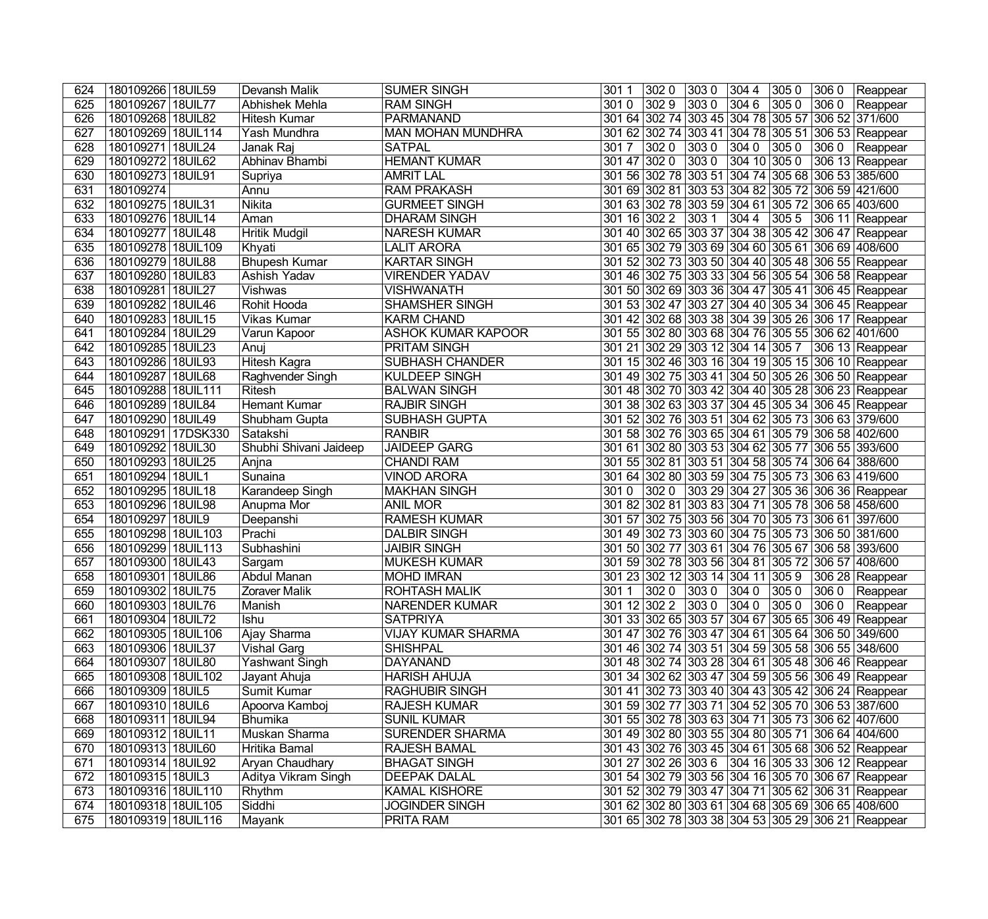| 624 | 180109266   18UIL59         | Devansh Malik          | <b>SUMER SINGH</b>        | 3020<br>3011                                       | $ 3030\rangle$ | 304 4          |                | 305 0 306 0 Reappear                       |
|-----|-----------------------------|------------------------|---------------------------|----------------------------------------------------|----------------|----------------|----------------|--------------------------------------------|
| 625 | 180109267<br><b>18UIL77</b> | Abhishek Mehla         | <b>RAM SINGH</b>          | 3029<br>3010                                       | $ 3030\rangle$ | 3046           | 3050           | 306 0 Reappear                             |
| 626 | 180109268<br><b>18UIL82</b> | <b>Hitesh Kumar</b>    | PARMANAND                 | 301 64 302 74 303 45 304 78 305 57 306 52 371/600  |                |                |                |                                            |
| 627 | 180109269 18UIL114          | Yash Mundhra           | <b>MAN MOHAN MUNDHRA</b>  | 301 62 302 74 303 41 304 78 305 51 306 53 Reappear |                |                |                |                                            |
| 628 | 180109271 18UIL24           | Janak Raj              | <b>SATPAL</b>             | 3017<br>3020                                       | $ 3030\rangle$ | $ 3040\rangle$ | $ 3050\rangle$ | 306 0 Reappear                             |
| 629 | 180109272 18UIL62           | Abhinav Bhambi         | <b>HEMANT KUMAR</b>       | 301 47 302 0                                       | 3030           | 304 10 305 0   |                | 306 13 Reappear                            |
| 630 | 180109273 18UIL91           | Supriya                | <b>AMRIT LAL</b>          | 301 56 302 78 303 51 304 74 305 68 306 53 385/600  |                |                |                |                                            |
| 631 | 180109274                   | Annu                   | <b>RAM PRAKASH</b>        | 301 69 302 81 303 53 304 82 305 72 306 59 421/600  |                |                |                |                                            |
| 632 | 180109275 18UIL31           | <b>Nikita</b>          | <b>GURMEET SINGH</b>      | 301 63 302 78 303 59 304 61 305 72 306 65 403/600  |                |                |                |                                            |
| 633 | 180109276<br><b>18UIL14</b> | Aman                   | <b>DHARAM SINGH</b>       | 301 16 302 2 303 1                                 |                | 304 4          |                | 305 5 306 11 Reappear                      |
| 634 | 180109277<br><b>18UIL48</b> | <b>Hritik Mudgil</b>   | <b>NARESH KUMAR</b>       | 301 40 302 65 303 37 304 38 305 42 306 47 Reappear |                |                |                |                                            |
| 635 | 180109278 18UIL109          | Khyati                 | <b>LALIT ARORA</b>        | 301 65 302 79 303 69 304 60 305 61 306 69 408/600  |                |                |                |                                            |
| 636 | 180109279 18UIL88           | <b>Bhupesh Kumar</b>   | <b>KARTAR SINGH</b>       | 301 52 302 73 303 50 304 40 305 48 306 55 Reappear |                |                |                |                                            |
| 637 | 180109280 18UIL83           | Ashish Yadav           | <b>VIRENDER YADAV</b>     | 301 46 302 75 303 33 304 56 305 54 306 58 Reappear |                |                |                |                                            |
| 638 | 180109281<br><b>18UIL27</b> | Vishwas                | <b>VISHWANATH</b>         | 301 50 302 69 303 36 304 47 305 41 306 45 Reappear |                |                |                |                                            |
| 639 | 180109282 18UIL46           | Rohit Hooda            | <b>SHAMSHER SINGH</b>     | 301 53 302 47 303 27 304 40 305 34 306 45 Reappear |                |                |                |                                            |
| 640 | 180109283 18UIL15           | Vikas Kumar            | <b>KARM CHAND</b>         | 301 42 302 68 303 38 304 39 305 26 306 17 Reappear |                |                |                |                                            |
| 641 | 180109284<br><b>18UIL29</b> | Varun Kapoor           | <b>ASHOK KUMAR KAPOOR</b> | 301 55 302 80 303 68 304 76 305 55 306 62 401/600  |                |                |                |                                            |
| 642 | 180109285<br><b>18UIL23</b> | Anuj                   | <b>PRITAM SINGH</b>       | 301 21 302 29 303 12 304 14 305 7 306 13 Reappear  |                |                |                |                                            |
| 643 | 180109286<br><b>18UIL93</b> | Hitesh Kagra           | <b>SUBHASH CHANDER</b>    | 301 15 302 46 303 16 304 19 305 15 306 10 Reappear |                |                |                |                                            |
| 644 | 180109287<br><b>18UIL68</b> | Raghvender Singh       | <b>KULDEEP SINGH</b>      | 301 49 302 75 303 41 304 50 305 26 306 50 Reappear |                |                |                |                                            |
| 645 | 180109288<br>18UIL111       | Ritesh                 | <b>BALWAN SINGH</b>       | 301 48 302 70 303 42 304 40 305 28 306 23 Reappear |                |                |                |                                            |
| 646 | 180109289<br><b>18UIL84</b> | <b>Hemant Kumar</b>    | <b>RAJBIR SINGH</b>       | 301 38 302 63 303 37 304 45 305 34 306 45 Reappear |                |                |                |                                            |
| 647 | 180109290 18UIL49           | Shubham Gupta          | <b>SUBHASH GUPTA</b>      | 301 52 302 76 303 51 304 62 305 73 306 63 379/600  |                |                |                |                                            |
| 648 | 180109291<br>17DSK330       | Satakshi               | <b>RANBIR</b>             | 301 58 302 76 303 65 304 61 305 79 306 58 402/600  |                |                |                |                                            |
| 649 | 180109292<br><b>18UIL30</b> | Shubhi Shivani Jaideep | <b>JAIDEEP GARG</b>       | 301 61 302 80 303 53 304 62 305 77 306 55 393/600  |                |                |                |                                            |
| 650 | 180109293<br><b>18UIL25</b> | Anjna                  | <b>CHANDI RAM</b>         | 301 55 302 81 303 51 304 58 305 74 306 64 388/600  |                |                |                |                                            |
| 651 | 180109294<br><b>18UIL1</b>  | Sunaina                | <b>VINOD ARORA</b>        | 301 64 302 80 303 59 304 75 305 73 306 63 419/600  |                |                |                |                                            |
| 652 | 180109295<br><b>18UIL18</b> | Karandeep Singh        | <b>MAKHAN SINGH</b>       | 3010                                               |                |                |                | 302 0 303 29 304 27 305 36 306 36 Reappear |
| 653 | 180109296<br><b>18UIL98</b> | Anupma Mor             | <b>ANIL MOR</b>           | 301 82 302 81 303 83 304 71 305 78 306 58 458/600  |                |                |                |                                            |
| 654 | 180109297<br><b>18UIL9</b>  | Deepanshi              | <b>RAMESH KUMAR</b>       | 301 57 302 75 303 56 304 70 305 73 306 61 397/600  |                |                |                |                                            |
| 655 | 180109298 18UIL103          | Prachi                 | <b>DALBIR SINGH</b>       | 301 49 302 73 303 60 304 75 305 73 306 50 381/600  |                |                |                |                                            |
| 656 | 180109299 18UIL113          | Subhashini             | <b>JAIBIR SINGH</b>       | 301 50 302 77 303 61 304 76 305 67 306 58 393/600  |                |                |                |                                            |
| 657 | 180109300 18UIL43           | Sargam                 | <b>MUKESH KUMAR</b>       | 301 59 302 78 303 56 304 81 305 72 306 57 408/600  |                |                |                |                                            |
| 658 | 180109301<br><b>18UIL86</b> | <b>Abdul Manan</b>     | <b>MOHD IMRAN</b>         | 301 23 302 12 303 14 304 11 305 9                  |                |                |                | 306 28 Reappear                            |
| 659 | 180109302 18UIL75           | <b>Zoraver Malik</b>   | <b>ROHTASH MALIK</b>      | $ 3020 $ $ 3030 $ $ 3040$<br>3011                  |                |                |                | 305 0 306 0 Reappear                       |
| 660 | 180109303 18UIL76           | Manish                 | <b>NARENDER KUMAR</b>     | 301 12 302 2 303 0 304 0 305 0 306 0 Reappear      |                |                |                |                                            |
| 661 | 180109304   18UIL72         | Ishu                   | <b>SATPRIYA</b>           | 301 33 302 65 303 57 304 67 305 65 306 49 Reappear |                |                |                |                                            |
| 662 | 180109305 18UIL106          | Ajay Sharma            | <b>VIJAY KUMAR SHARMA</b> | 301 47 302 76 303 47 304 61 305 64 306 50 349/600  |                |                |                |                                            |
| 663 | 180109306 18UIL37           | <b>Vishal Garg</b>     | <b>SHISHPAL</b>           | 301 46 302 74 303 51 304 59 305 58 306 55 348/600  |                |                |                |                                            |
| 664 | 180109307 18UIL80           | <b>Yashwant Singh</b>  | <b>DAYANAND</b>           | 301 48 302 74 303 28 304 61 305 48 306 46 Reappear |                |                |                |                                            |
| 665 | 180109308 18UIL102          | Jayant Ahuja           | <b>HARISH AHUJA</b>       | 301 34 302 62 303 47 304 59 305 56 306 49 Reappear |                |                |                |                                            |
| 666 | 180109309 18UIL5            | Sumit Kumar            | <b>RAGHUBIR SINGH</b>     | 301 41 302 73 303 40 304 43 305 42 306 24 Reappear |                |                |                |                                            |
| 667 | 180109310 18UIL6            | Apoorva Kamboj         | <b>RAJESH KUMAR</b>       | 301 59 302 77 303 71 304 52 305 70 306 53 387/600  |                |                |                |                                            |
| 668 | 180109311 18UIL94           | Bhumika                | <b>SUNIL KUMAR</b>        | 301 55 302 78 303 63 304 71 305 73 306 62 407/600  |                |                |                |                                            |
| 669 | 180109312 18UIL11           | Muskan Sharma          | <b>SURENDER SHARMA</b>    | 301 49 302 80 303 55 304 80 305 71 306 64 404/600  |                |                |                |                                            |
| 670 | 180109313 18UIL60           | Hritika Bamal          | <b>RAJESH BAMAL</b>       | 301 43 302 76 303 45 304 61 305 68 306 52 Reappear |                |                |                |                                            |
| 671 | 180109314 18UIL92           | Aryan Chaudhary        | <b>BHAGAT SINGH</b>       | 301 27 302 26 303 6 304 16 305 33 306 12 Reappear  |                |                |                |                                            |
| 672 | 180109315 18UIL3            | Aditya Vikram Singh    | <b>DEEPAK DALAL</b>       | 301 54 302 79 303 56 304 16 305 70 306 67 Reappear |                |                |                |                                            |
| 673 | 180109316 18UIL110          | Rhythm                 | <b>KAMAL KISHORE</b>      | 301 52 302 79 303 47 304 71 305 62 306 31 Reappear |                |                |                |                                            |
| 674 | 180109318 18UIL105          | Siddhi                 | <b>JOGINDER SINGH</b>     | 301 62 302 80 303 61 304 68 305 69 306 65 408/600  |                |                |                |                                            |
| 675 | 180109319 18UIL116          | Mayank                 | <b>PRITA RAM</b>          | 301 65 302 78 303 38 304 53 305 29 306 21 Reappear |                |                |                |                                            |
|     |                             |                        |                           |                                                    |                |                |                |                                            |